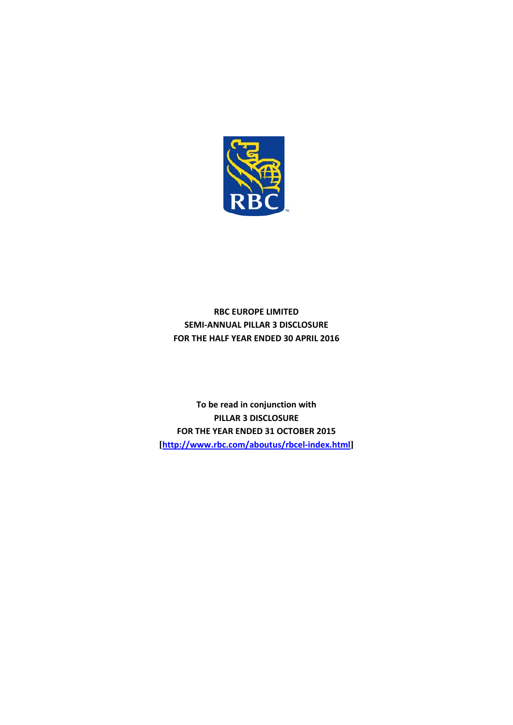

# **RBC EUROPE LIMITED SEMI-ANNUAL PILLAR 3 DISCLOSURE FOR THE HALF YEAR ENDED 30 APRIL 2016**

**To be read in conjunction with PILLAR 3 DISCLOSURE FOR THE YEAR ENDED 31 OCTOBER 2015 [<http://www.rbc.com/aboutus/rbcel-index.html>]**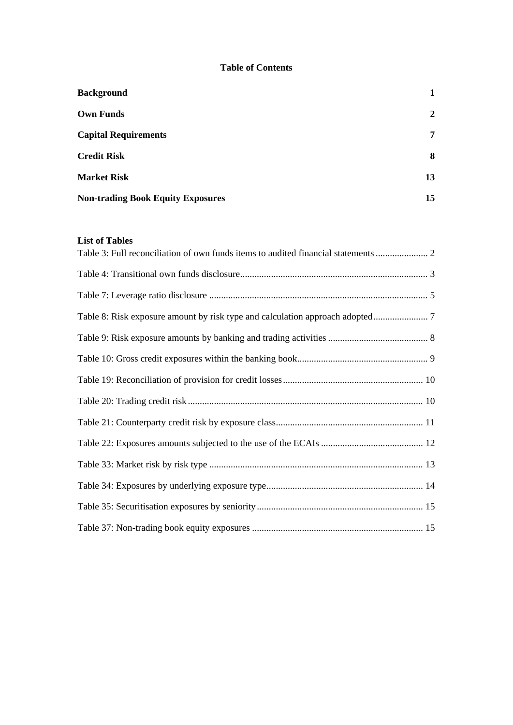### **Table of Contents**

| <b>Background</b>                        |    |
|------------------------------------------|----|
| <b>Own Funds</b>                         | 2  |
| <b>Capital Requirements</b>              | 7  |
| <b>Credit Risk</b>                       | 8  |
| <b>Market Risk</b>                       | 13 |
| <b>Non-trading Book Equity Exposures</b> | 15 |

### **List of Tables**

| Table 8: Risk exposure amount by risk type and calculation approach adopted |  |
|-----------------------------------------------------------------------------|--|
|                                                                             |  |
|                                                                             |  |
|                                                                             |  |
|                                                                             |  |
|                                                                             |  |
|                                                                             |  |
|                                                                             |  |
|                                                                             |  |
|                                                                             |  |
|                                                                             |  |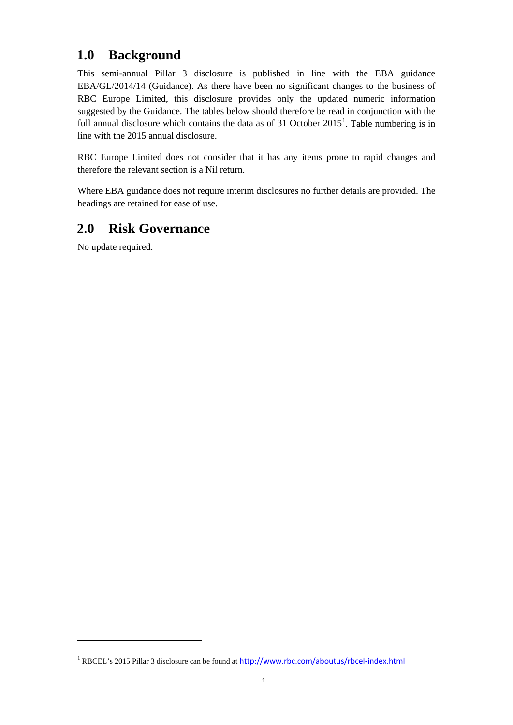# **1.0 Background**

This semi-annual Pillar 3 disclosure is published in line with the EBA guidance EBA/GL/2014/14 (Guidance). As there have been no significant changes to the business of RBC Europe Limited, this disclosure provides only the updated numeric information suggested by the Guidance. The tables below should therefore be read in conjunction with the full annual disclosure which contains the data as of 3[1](#page-2-0) October  $2015<sup>1</sup>$ . Table numbering is in line with the 2015 annual disclosure.

RBC Europe Limited does not consider that it has any items prone to rapid changes and therefore the relevant section is a Nil return.

Where EBA guidance does not require interim disclosures no further details are provided. The headings are retained for ease of use.

# **2.0 Risk Governance**

No update required.

**.** 

<span id="page-2-0"></span><sup>&</sup>lt;sup>1</sup> RBCEL's 2015 Pillar 3 disclosure can be found at <http://www.rbc.com/aboutus/rbcel-index.html>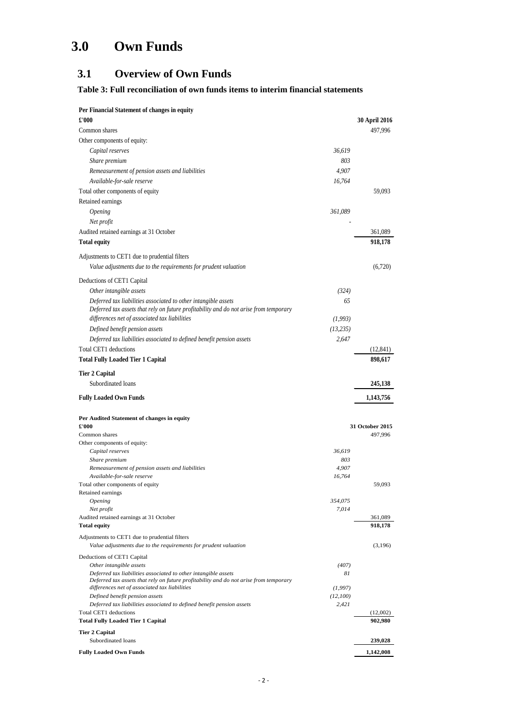# **3.0 Own Funds**

# **3.1 Overview of Own Funds**

### <span id="page-3-0"></span>**Table 3: Full reconciliation of own funds items to interim financial statements**

| Per Financial Statement of changes in equity                                                                                           |               |                      |
|----------------------------------------------------------------------------------------------------------------------------------------|---------------|----------------------|
| £'000                                                                                                                                  |               | <b>30 April 2016</b> |
| Common shares                                                                                                                          |               | 497,996              |
| Other components of equity:                                                                                                            |               |                      |
| Capital reserves                                                                                                                       | 36,619        |                      |
| Share premium                                                                                                                          | 803           |                      |
| Remeasurement of pension assets and liabilities                                                                                        | 4,907         |                      |
| Available-for-sale reserve                                                                                                             | 16,764        |                      |
| Total other components of equity                                                                                                       |               | 59,093               |
| Retained earnings                                                                                                                      |               |                      |
| <i><b>Opening</b></i>                                                                                                                  | 361,089       |                      |
| Net profit                                                                                                                             |               |                      |
| Audited retained earnings at 31 October                                                                                                |               | 361,089              |
| <b>Total equity</b>                                                                                                                    |               | 918,178              |
| Adjustments to CET1 due to prudential filters                                                                                          |               |                      |
| Value adjustments due to the requirements for prudent valuation                                                                        |               | (6,720)              |
| Deductions of CET1 Capital                                                                                                             |               |                      |
| Other intangible assets                                                                                                                | (324)         |                      |
| Deferred tax liabilities associated to other intangible assets                                                                         | 65            |                      |
| Deferred tax assets that rely on future profitability and do not arise from temporary                                                  |               |                      |
| differences net of associated tax liabilities                                                                                          | (1, 993)      |                      |
| Defined benefit pension assets                                                                                                         | (13, 235)     |                      |
| Deferred tax liabilities associated to defined benefit pension assets                                                                  | 2.647         |                      |
| Total CET1 deductions                                                                                                                  |               | (12, 841)            |
| <b>Total Fully Loaded Tier 1 Capital</b>                                                                                               |               | 898,617              |
| <b>Tier 2 Capital</b>                                                                                                                  |               |                      |
| Subordinated loans                                                                                                                     |               | 245,138              |
|                                                                                                                                        |               |                      |
|                                                                                                                                        |               |                      |
| <b>Fully Loaded Own Funds</b>                                                                                                          |               | 1,143,756            |
| Per Audited Statement of changes in equity                                                                                             |               |                      |
| £'000                                                                                                                                  |               | 31 October 2015      |
| Common shares                                                                                                                          |               | 497,996              |
| Other components of equity:                                                                                                            |               |                      |
| Capital reserves<br>Share premium                                                                                                      | 36,619<br>803 |                      |
| Remeasurement of pension assets and liabilities                                                                                        | 4,907         |                      |
| Available-for-sale reserve                                                                                                             | 16,764        |                      |
| Total other components of equity                                                                                                       |               | 59,093               |
| Retained earnings<br><i><b>Opening</b></i>                                                                                             | 354,075       |                      |
| Net profit                                                                                                                             | 7,014         |                      |
| Audited retained earnings at 31 October                                                                                                |               | 361,089              |
| <b>Total equity</b>                                                                                                                    |               | 918.178              |
| Adjustments to CET1 due to prudential filters<br>Value adjustments due to the requirements for prudent valuation                       |               | (3,196)              |
| Deductions of CET1 Capital                                                                                                             |               |                      |
| Other intangible assets                                                                                                                | (407)         |                      |
| Deferred tax liabilities associated to other intangible assets                                                                         | 81            |                      |
| Deferred tax assets that rely on future profitability and do not arise from temporary<br>differences net of associated tax liabilities | (1, 997)      |                      |
| Defined benefit pension assets                                                                                                         | (12,100)      |                      |
| Deferred tax liabilities associated to defined benefit pension assets                                                                  | 2,421         |                      |
| Total CET1 deductions<br><b>Total Fully Loaded Tier 1 Capital</b>                                                                      |               | (12,002)<br>902,980  |
| <b>Tier 2 Capital</b>                                                                                                                  |               |                      |
| Subordinated loans                                                                                                                     |               | 239,028              |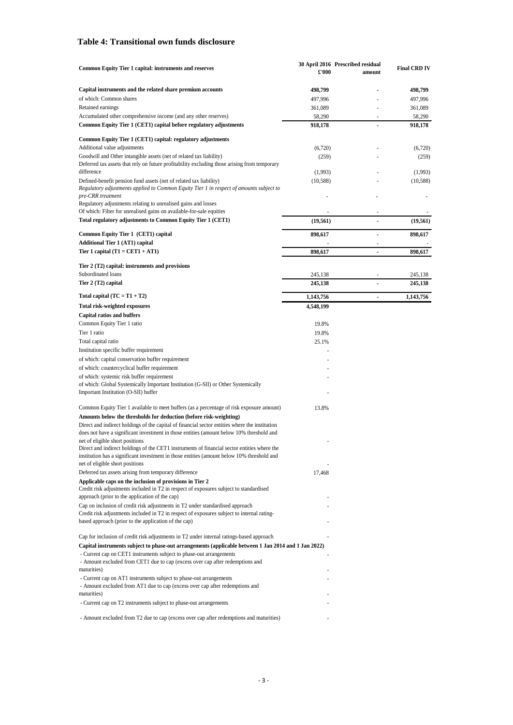### <span id="page-4-0"></span>**Table 4: Transitional own funds disclosure**

| Capital instruments and the related share premium accounts<br>498,799<br>498,799<br>of which: Common shares<br>497,996<br>497,996<br>Retained earnings<br>361,089<br>361,089<br>Accumulated other comprehensive income (and any other reserves)<br>58,290<br>58,290<br>Common Equity Tier 1 (CET1) capital before regulatory adjustments<br>918,178<br>918,178<br>l,<br>Common Equity Tier 1 (CET1) capital: regulatory adjustments<br>Additional value adjustments<br>(6,720)<br>(6,720)<br>Goodwill and Other intangible assets (net of related tax liability)<br>(259)<br>(259)<br>Deferred tax assets that rely on future profitability excluding those arising from temporary<br>difference<br>(1,993)<br>(1,993)<br>Defined-benefit pension fund assets (net of related tax liability)<br>(10, 588)<br>(10, 588)<br>Regulatory adjustments applied to Common Equity Tier 1 in respect of amounts subject to<br>pre-CRR treatment<br>Regulatory adjustments relating to unrealised gains and losses<br>Of which: Filter for unrealised gains on available-for-sale equities<br>Total regulatory adjustments to Common Equity Tier 1 (CET1)<br>(19, 561)<br>(19, 561)<br>÷,<br>Common Equity Tier 1 (CET1) capital<br>898,617<br>898,617<br>÷,<br><b>Additional Tier 1 (AT1) capital</b><br>÷<br>Tier 1 capital $(T1 = CET1 + AT1)$<br>898,617<br>898,617<br>Ĭ.<br>Tier 2 (T2) capital: instruments and provisions<br>Subordinated loans<br>245,138<br>245,138<br>Tier 2 (T2) capital<br>245,138<br>245,138<br>÷,<br>Total capital $(TC = T1 + T2)$<br>1,143,756<br>1,143,756<br>ä,<br>Total risk-weighted exposures<br>4,548,199<br><b>Capital ratios and buffers</b><br>Common Equity Tier 1 ratio<br>19.8%<br>Tier 1 ratio<br>19.8%<br>Total capital ratio<br>25.1%<br>Institution specific buffer requirement<br>of which: capital conservation buffer requirement<br>of which: countercyclical buffer requirement<br>of which: systemic risk buffer requirement<br>of which: Global Systemically Important Institution (G-SII) or Other Systemically<br>Important Institution (O-SII) buffer<br>Common Equity Tier 1 available to meet buffers (as a percentage of risk exposure amount)<br>13.8%<br>Amounts below the thresholds for deduction (before risk-weighting)<br>Direct and indirect holdings of the capital of financial sector entities where the institution<br>does not have a significant investment in those entities (amount below 10% threshold and<br>net of eligible short positions<br>Direct and indirect holdings of the CET1 instruments of financial sector entities where the<br>institution has a significant investment in those entities (amount below 10% threshold and<br>net of eligible short positions<br>Deferred tax assets arising from temporary difference<br>17,468<br>Applicable caps on the inclusion of provisions in Tier 2<br>Credit risk adjustments included in T2 in respect of exposures subject to standardised<br>approach (prior to the application of the cap)<br>Cap on inclusion of credit risk adjustments in T2 under standardised approach<br>Credit risk adjustments included in T2 in respect of exposures subject to internal rating-<br>based approach (prior to the application of the cap)<br>Cap for inclusion of credit risk adjustments in T2 under internal ratings-based approach<br>Capital instruments subject to phase-out arrangements (applicable between 1 Jan 2014 and 1 Jan 2022)<br>- Current cap on CET1 instruments subject to phase-out arrangements<br>- Amount excluded from CET1 due to cap (excess over cap after redemptions and<br>maturities)<br>- Current cap on AT1 instruments subject to phase-out arrangements<br>- Amount excluded from AT1 due to cap (excess over cap after redemptions and<br>maturities)<br>- Current cap on T2 instruments subject to phase-out arrangements<br>- Amount excluded from T2 due to cap (excess over cap after redemptions and maturities) | <b>Common Equity Tier 1 capital: instruments and reserves</b> | £'000 | 30 April 2016 Prescribed residual<br>amount | <b>Final CRD IV</b> |
|-------------------------------------------------------------------------------------------------------------------------------------------------------------------------------------------------------------------------------------------------------------------------------------------------------------------------------------------------------------------------------------------------------------------------------------------------------------------------------------------------------------------------------------------------------------------------------------------------------------------------------------------------------------------------------------------------------------------------------------------------------------------------------------------------------------------------------------------------------------------------------------------------------------------------------------------------------------------------------------------------------------------------------------------------------------------------------------------------------------------------------------------------------------------------------------------------------------------------------------------------------------------------------------------------------------------------------------------------------------------------------------------------------------------------------------------------------------------------------------------------------------------------------------------------------------------------------------------------------------------------------------------------------------------------------------------------------------------------------------------------------------------------------------------------------------------------------------------------------------------------------------------------------------------------------------------------------------------------------------------------------------------------------------------------------------------------------------------------------------------------------------------------------------------------------------------------------------------------------------------------------------------------------------------------------------------------------------------------------------------------------------------------------------------------------------------------------------------------------------------------------------------------------------------------------------------------------------------------------------------------------------------------------------------------------------------------------------------------------------------------------------------------------------------------------------------------------------------------------------------------------------------------------------------------------------------------------------------------------------------------------------------------------------------------------------------------------------------------------------------------------------------------------------------------------------------------------------------------------------------------------------------------------------------------------------------------------------------------------------------------------------------------------------------------------------------------------------------------------------------------------------------------------------------------------------------------------------------------------------------------------------------------------------------------------------------------------------------------------------------------------------------------------------------------------------------------------------------------------------------------------------------------------------------------------------------------------------------------------------|---------------------------------------------------------------|-------|---------------------------------------------|---------------------|
|                                                                                                                                                                                                                                                                                                                                                                                                                                                                                                                                                                                                                                                                                                                                                                                                                                                                                                                                                                                                                                                                                                                                                                                                                                                                                                                                                                                                                                                                                                                                                                                                                                                                                                                                                                                                                                                                                                                                                                                                                                                                                                                                                                                                                                                                                                                                                                                                                                                                                                                                                                                                                                                                                                                                                                                                                                                                                                                                                                                                                                                                                                                                                                                                                                                                                                                                                                                                                                                                                                                                                                                                                                                                                                                                                                                                                                                                                                                                                                                     |                                                               |       |                                             |                     |
|                                                                                                                                                                                                                                                                                                                                                                                                                                                                                                                                                                                                                                                                                                                                                                                                                                                                                                                                                                                                                                                                                                                                                                                                                                                                                                                                                                                                                                                                                                                                                                                                                                                                                                                                                                                                                                                                                                                                                                                                                                                                                                                                                                                                                                                                                                                                                                                                                                                                                                                                                                                                                                                                                                                                                                                                                                                                                                                                                                                                                                                                                                                                                                                                                                                                                                                                                                                                                                                                                                                                                                                                                                                                                                                                                                                                                                                                                                                                                                                     |                                                               |       |                                             |                     |
|                                                                                                                                                                                                                                                                                                                                                                                                                                                                                                                                                                                                                                                                                                                                                                                                                                                                                                                                                                                                                                                                                                                                                                                                                                                                                                                                                                                                                                                                                                                                                                                                                                                                                                                                                                                                                                                                                                                                                                                                                                                                                                                                                                                                                                                                                                                                                                                                                                                                                                                                                                                                                                                                                                                                                                                                                                                                                                                                                                                                                                                                                                                                                                                                                                                                                                                                                                                                                                                                                                                                                                                                                                                                                                                                                                                                                                                                                                                                                                                     |                                                               |       |                                             |                     |
|                                                                                                                                                                                                                                                                                                                                                                                                                                                                                                                                                                                                                                                                                                                                                                                                                                                                                                                                                                                                                                                                                                                                                                                                                                                                                                                                                                                                                                                                                                                                                                                                                                                                                                                                                                                                                                                                                                                                                                                                                                                                                                                                                                                                                                                                                                                                                                                                                                                                                                                                                                                                                                                                                                                                                                                                                                                                                                                                                                                                                                                                                                                                                                                                                                                                                                                                                                                                                                                                                                                                                                                                                                                                                                                                                                                                                                                                                                                                                                                     |                                                               |       |                                             |                     |
|                                                                                                                                                                                                                                                                                                                                                                                                                                                                                                                                                                                                                                                                                                                                                                                                                                                                                                                                                                                                                                                                                                                                                                                                                                                                                                                                                                                                                                                                                                                                                                                                                                                                                                                                                                                                                                                                                                                                                                                                                                                                                                                                                                                                                                                                                                                                                                                                                                                                                                                                                                                                                                                                                                                                                                                                                                                                                                                                                                                                                                                                                                                                                                                                                                                                                                                                                                                                                                                                                                                                                                                                                                                                                                                                                                                                                                                                                                                                                                                     |                                                               |       |                                             |                     |
|                                                                                                                                                                                                                                                                                                                                                                                                                                                                                                                                                                                                                                                                                                                                                                                                                                                                                                                                                                                                                                                                                                                                                                                                                                                                                                                                                                                                                                                                                                                                                                                                                                                                                                                                                                                                                                                                                                                                                                                                                                                                                                                                                                                                                                                                                                                                                                                                                                                                                                                                                                                                                                                                                                                                                                                                                                                                                                                                                                                                                                                                                                                                                                                                                                                                                                                                                                                                                                                                                                                                                                                                                                                                                                                                                                                                                                                                                                                                                                                     |                                                               |       |                                             |                     |
|                                                                                                                                                                                                                                                                                                                                                                                                                                                                                                                                                                                                                                                                                                                                                                                                                                                                                                                                                                                                                                                                                                                                                                                                                                                                                                                                                                                                                                                                                                                                                                                                                                                                                                                                                                                                                                                                                                                                                                                                                                                                                                                                                                                                                                                                                                                                                                                                                                                                                                                                                                                                                                                                                                                                                                                                                                                                                                                                                                                                                                                                                                                                                                                                                                                                                                                                                                                                                                                                                                                                                                                                                                                                                                                                                                                                                                                                                                                                                                                     |                                                               |       |                                             |                     |
|                                                                                                                                                                                                                                                                                                                                                                                                                                                                                                                                                                                                                                                                                                                                                                                                                                                                                                                                                                                                                                                                                                                                                                                                                                                                                                                                                                                                                                                                                                                                                                                                                                                                                                                                                                                                                                                                                                                                                                                                                                                                                                                                                                                                                                                                                                                                                                                                                                                                                                                                                                                                                                                                                                                                                                                                                                                                                                                                                                                                                                                                                                                                                                                                                                                                                                                                                                                                                                                                                                                                                                                                                                                                                                                                                                                                                                                                                                                                                                                     |                                                               |       |                                             |                     |
|                                                                                                                                                                                                                                                                                                                                                                                                                                                                                                                                                                                                                                                                                                                                                                                                                                                                                                                                                                                                                                                                                                                                                                                                                                                                                                                                                                                                                                                                                                                                                                                                                                                                                                                                                                                                                                                                                                                                                                                                                                                                                                                                                                                                                                                                                                                                                                                                                                                                                                                                                                                                                                                                                                                                                                                                                                                                                                                                                                                                                                                                                                                                                                                                                                                                                                                                                                                                                                                                                                                                                                                                                                                                                                                                                                                                                                                                                                                                                                                     |                                                               |       |                                             |                     |
|                                                                                                                                                                                                                                                                                                                                                                                                                                                                                                                                                                                                                                                                                                                                                                                                                                                                                                                                                                                                                                                                                                                                                                                                                                                                                                                                                                                                                                                                                                                                                                                                                                                                                                                                                                                                                                                                                                                                                                                                                                                                                                                                                                                                                                                                                                                                                                                                                                                                                                                                                                                                                                                                                                                                                                                                                                                                                                                                                                                                                                                                                                                                                                                                                                                                                                                                                                                                                                                                                                                                                                                                                                                                                                                                                                                                                                                                                                                                                                                     |                                                               |       |                                             |                     |
|                                                                                                                                                                                                                                                                                                                                                                                                                                                                                                                                                                                                                                                                                                                                                                                                                                                                                                                                                                                                                                                                                                                                                                                                                                                                                                                                                                                                                                                                                                                                                                                                                                                                                                                                                                                                                                                                                                                                                                                                                                                                                                                                                                                                                                                                                                                                                                                                                                                                                                                                                                                                                                                                                                                                                                                                                                                                                                                                                                                                                                                                                                                                                                                                                                                                                                                                                                                                                                                                                                                                                                                                                                                                                                                                                                                                                                                                                                                                                                                     |                                                               |       |                                             |                     |
|                                                                                                                                                                                                                                                                                                                                                                                                                                                                                                                                                                                                                                                                                                                                                                                                                                                                                                                                                                                                                                                                                                                                                                                                                                                                                                                                                                                                                                                                                                                                                                                                                                                                                                                                                                                                                                                                                                                                                                                                                                                                                                                                                                                                                                                                                                                                                                                                                                                                                                                                                                                                                                                                                                                                                                                                                                                                                                                                                                                                                                                                                                                                                                                                                                                                                                                                                                                                                                                                                                                                                                                                                                                                                                                                                                                                                                                                                                                                                                                     |                                                               |       |                                             |                     |
|                                                                                                                                                                                                                                                                                                                                                                                                                                                                                                                                                                                                                                                                                                                                                                                                                                                                                                                                                                                                                                                                                                                                                                                                                                                                                                                                                                                                                                                                                                                                                                                                                                                                                                                                                                                                                                                                                                                                                                                                                                                                                                                                                                                                                                                                                                                                                                                                                                                                                                                                                                                                                                                                                                                                                                                                                                                                                                                                                                                                                                                                                                                                                                                                                                                                                                                                                                                                                                                                                                                                                                                                                                                                                                                                                                                                                                                                                                                                                                                     |                                                               |       |                                             |                     |
|                                                                                                                                                                                                                                                                                                                                                                                                                                                                                                                                                                                                                                                                                                                                                                                                                                                                                                                                                                                                                                                                                                                                                                                                                                                                                                                                                                                                                                                                                                                                                                                                                                                                                                                                                                                                                                                                                                                                                                                                                                                                                                                                                                                                                                                                                                                                                                                                                                                                                                                                                                                                                                                                                                                                                                                                                                                                                                                                                                                                                                                                                                                                                                                                                                                                                                                                                                                                                                                                                                                                                                                                                                                                                                                                                                                                                                                                                                                                                                                     |                                                               |       |                                             |                     |
|                                                                                                                                                                                                                                                                                                                                                                                                                                                                                                                                                                                                                                                                                                                                                                                                                                                                                                                                                                                                                                                                                                                                                                                                                                                                                                                                                                                                                                                                                                                                                                                                                                                                                                                                                                                                                                                                                                                                                                                                                                                                                                                                                                                                                                                                                                                                                                                                                                                                                                                                                                                                                                                                                                                                                                                                                                                                                                                                                                                                                                                                                                                                                                                                                                                                                                                                                                                                                                                                                                                                                                                                                                                                                                                                                                                                                                                                                                                                                                                     |                                                               |       |                                             |                     |
|                                                                                                                                                                                                                                                                                                                                                                                                                                                                                                                                                                                                                                                                                                                                                                                                                                                                                                                                                                                                                                                                                                                                                                                                                                                                                                                                                                                                                                                                                                                                                                                                                                                                                                                                                                                                                                                                                                                                                                                                                                                                                                                                                                                                                                                                                                                                                                                                                                                                                                                                                                                                                                                                                                                                                                                                                                                                                                                                                                                                                                                                                                                                                                                                                                                                                                                                                                                                                                                                                                                                                                                                                                                                                                                                                                                                                                                                                                                                                                                     |                                                               |       |                                             |                     |
|                                                                                                                                                                                                                                                                                                                                                                                                                                                                                                                                                                                                                                                                                                                                                                                                                                                                                                                                                                                                                                                                                                                                                                                                                                                                                                                                                                                                                                                                                                                                                                                                                                                                                                                                                                                                                                                                                                                                                                                                                                                                                                                                                                                                                                                                                                                                                                                                                                                                                                                                                                                                                                                                                                                                                                                                                                                                                                                                                                                                                                                                                                                                                                                                                                                                                                                                                                                                                                                                                                                                                                                                                                                                                                                                                                                                                                                                                                                                                                                     |                                                               |       |                                             |                     |
|                                                                                                                                                                                                                                                                                                                                                                                                                                                                                                                                                                                                                                                                                                                                                                                                                                                                                                                                                                                                                                                                                                                                                                                                                                                                                                                                                                                                                                                                                                                                                                                                                                                                                                                                                                                                                                                                                                                                                                                                                                                                                                                                                                                                                                                                                                                                                                                                                                                                                                                                                                                                                                                                                                                                                                                                                                                                                                                                                                                                                                                                                                                                                                                                                                                                                                                                                                                                                                                                                                                                                                                                                                                                                                                                                                                                                                                                                                                                                                                     |                                                               |       |                                             |                     |
|                                                                                                                                                                                                                                                                                                                                                                                                                                                                                                                                                                                                                                                                                                                                                                                                                                                                                                                                                                                                                                                                                                                                                                                                                                                                                                                                                                                                                                                                                                                                                                                                                                                                                                                                                                                                                                                                                                                                                                                                                                                                                                                                                                                                                                                                                                                                                                                                                                                                                                                                                                                                                                                                                                                                                                                                                                                                                                                                                                                                                                                                                                                                                                                                                                                                                                                                                                                                                                                                                                                                                                                                                                                                                                                                                                                                                                                                                                                                                                                     |                                                               |       |                                             |                     |
|                                                                                                                                                                                                                                                                                                                                                                                                                                                                                                                                                                                                                                                                                                                                                                                                                                                                                                                                                                                                                                                                                                                                                                                                                                                                                                                                                                                                                                                                                                                                                                                                                                                                                                                                                                                                                                                                                                                                                                                                                                                                                                                                                                                                                                                                                                                                                                                                                                                                                                                                                                                                                                                                                                                                                                                                                                                                                                                                                                                                                                                                                                                                                                                                                                                                                                                                                                                                                                                                                                                                                                                                                                                                                                                                                                                                                                                                                                                                                                                     |                                                               |       |                                             |                     |
|                                                                                                                                                                                                                                                                                                                                                                                                                                                                                                                                                                                                                                                                                                                                                                                                                                                                                                                                                                                                                                                                                                                                                                                                                                                                                                                                                                                                                                                                                                                                                                                                                                                                                                                                                                                                                                                                                                                                                                                                                                                                                                                                                                                                                                                                                                                                                                                                                                                                                                                                                                                                                                                                                                                                                                                                                                                                                                                                                                                                                                                                                                                                                                                                                                                                                                                                                                                                                                                                                                                                                                                                                                                                                                                                                                                                                                                                                                                                                                                     |                                                               |       |                                             |                     |
|                                                                                                                                                                                                                                                                                                                                                                                                                                                                                                                                                                                                                                                                                                                                                                                                                                                                                                                                                                                                                                                                                                                                                                                                                                                                                                                                                                                                                                                                                                                                                                                                                                                                                                                                                                                                                                                                                                                                                                                                                                                                                                                                                                                                                                                                                                                                                                                                                                                                                                                                                                                                                                                                                                                                                                                                                                                                                                                                                                                                                                                                                                                                                                                                                                                                                                                                                                                                                                                                                                                                                                                                                                                                                                                                                                                                                                                                                                                                                                                     |                                                               |       |                                             |                     |
|                                                                                                                                                                                                                                                                                                                                                                                                                                                                                                                                                                                                                                                                                                                                                                                                                                                                                                                                                                                                                                                                                                                                                                                                                                                                                                                                                                                                                                                                                                                                                                                                                                                                                                                                                                                                                                                                                                                                                                                                                                                                                                                                                                                                                                                                                                                                                                                                                                                                                                                                                                                                                                                                                                                                                                                                                                                                                                                                                                                                                                                                                                                                                                                                                                                                                                                                                                                                                                                                                                                                                                                                                                                                                                                                                                                                                                                                                                                                                                                     |                                                               |       |                                             |                     |
|                                                                                                                                                                                                                                                                                                                                                                                                                                                                                                                                                                                                                                                                                                                                                                                                                                                                                                                                                                                                                                                                                                                                                                                                                                                                                                                                                                                                                                                                                                                                                                                                                                                                                                                                                                                                                                                                                                                                                                                                                                                                                                                                                                                                                                                                                                                                                                                                                                                                                                                                                                                                                                                                                                                                                                                                                                                                                                                                                                                                                                                                                                                                                                                                                                                                                                                                                                                                                                                                                                                                                                                                                                                                                                                                                                                                                                                                                                                                                                                     |                                                               |       |                                             |                     |
|                                                                                                                                                                                                                                                                                                                                                                                                                                                                                                                                                                                                                                                                                                                                                                                                                                                                                                                                                                                                                                                                                                                                                                                                                                                                                                                                                                                                                                                                                                                                                                                                                                                                                                                                                                                                                                                                                                                                                                                                                                                                                                                                                                                                                                                                                                                                                                                                                                                                                                                                                                                                                                                                                                                                                                                                                                                                                                                                                                                                                                                                                                                                                                                                                                                                                                                                                                                                                                                                                                                                                                                                                                                                                                                                                                                                                                                                                                                                                                                     |                                                               |       |                                             |                     |
|                                                                                                                                                                                                                                                                                                                                                                                                                                                                                                                                                                                                                                                                                                                                                                                                                                                                                                                                                                                                                                                                                                                                                                                                                                                                                                                                                                                                                                                                                                                                                                                                                                                                                                                                                                                                                                                                                                                                                                                                                                                                                                                                                                                                                                                                                                                                                                                                                                                                                                                                                                                                                                                                                                                                                                                                                                                                                                                                                                                                                                                                                                                                                                                                                                                                                                                                                                                                                                                                                                                                                                                                                                                                                                                                                                                                                                                                                                                                                                                     |                                                               |       |                                             |                     |
|                                                                                                                                                                                                                                                                                                                                                                                                                                                                                                                                                                                                                                                                                                                                                                                                                                                                                                                                                                                                                                                                                                                                                                                                                                                                                                                                                                                                                                                                                                                                                                                                                                                                                                                                                                                                                                                                                                                                                                                                                                                                                                                                                                                                                                                                                                                                                                                                                                                                                                                                                                                                                                                                                                                                                                                                                                                                                                                                                                                                                                                                                                                                                                                                                                                                                                                                                                                                                                                                                                                                                                                                                                                                                                                                                                                                                                                                                                                                                                                     |                                                               |       |                                             |                     |
|                                                                                                                                                                                                                                                                                                                                                                                                                                                                                                                                                                                                                                                                                                                                                                                                                                                                                                                                                                                                                                                                                                                                                                                                                                                                                                                                                                                                                                                                                                                                                                                                                                                                                                                                                                                                                                                                                                                                                                                                                                                                                                                                                                                                                                                                                                                                                                                                                                                                                                                                                                                                                                                                                                                                                                                                                                                                                                                                                                                                                                                                                                                                                                                                                                                                                                                                                                                                                                                                                                                                                                                                                                                                                                                                                                                                                                                                                                                                                                                     |                                                               |       |                                             |                     |
|                                                                                                                                                                                                                                                                                                                                                                                                                                                                                                                                                                                                                                                                                                                                                                                                                                                                                                                                                                                                                                                                                                                                                                                                                                                                                                                                                                                                                                                                                                                                                                                                                                                                                                                                                                                                                                                                                                                                                                                                                                                                                                                                                                                                                                                                                                                                                                                                                                                                                                                                                                                                                                                                                                                                                                                                                                                                                                                                                                                                                                                                                                                                                                                                                                                                                                                                                                                                                                                                                                                                                                                                                                                                                                                                                                                                                                                                                                                                                                                     |                                                               |       |                                             |                     |
|                                                                                                                                                                                                                                                                                                                                                                                                                                                                                                                                                                                                                                                                                                                                                                                                                                                                                                                                                                                                                                                                                                                                                                                                                                                                                                                                                                                                                                                                                                                                                                                                                                                                                                                                                                                                                                                                                                                                                                                                                                                                                                                                                                                                                                                                                                                                                                                                                                                                                                                                                                                                                                                                                                                                                                                                                                                                                                                                                                                                                                                                                                                                                                                                                                                                                                                                                                                                                                                                                                                                                                                                                                                                                                                                                                                                                                                                                                                                                                                     |                                                               |       |                                             |                     |
|                                                                                                                                                                                                                                                                                                                                                                                                                                                                                                                                                                                                                                                                                                                                                                                                                                                                                                                                                                                                                                                                                                                                                                                                                                                                                                                                                                                                                                                                                                                                                                                                                                                                                                                                                                                                                                                                                                                                                                                                                                                                                                                                                                                                                                                                                                                                                                                                                                                                                                                                                                                                                                                                                                                                                                                                                                                                                                                                                                                                                                                                                                                                                                                                                                                                                                                                                                                                                                                                                                                                                                                                                                                                                                                                                                                                                                                                                                                                                                                     |                                                               |       |                                             |                     |
|                                                                                                                                                                                                                                                                                                                                                                                                                                                                                                                                                                                                                                                                                                                                                                                                                                                                                                                                                                                                                                                                                                                                                                                                                                                                                                                                                                                                                                                                                                                                                                                                                                                                                                                                                                                                                                                                                                                                                                                                                                                                                                                                                                                                                                                                                                                                                                                                                                                                                                                                                                                                                                                                                                                                                                                                                                                                                                                                                                                                                                                                                                                                                                                                                                                                                                                                                                                                                                                                                                                                                                                                                                                                                                                                                                                                                                                                                                                                                                                     |                                                               |       |                                             |                     |
|                                                                                                                                                                                                                                                                                                                                                                                                                                                                                                                                                                                                                                                                                                                                                                                                                                                                                                                                                                                                                                                                                                                                                                                                                                                                                                                                                                                                                                                                                                                                                                                                                                                                                                                                                                                                                                                                                                                                                                                                                                                                                                                                                                                                                                                                                                                                                                                                                                                                                                                                                                                                                                                                                                                                                                                                                                                                                                                                                                                                                                                                                                                                                                                                                                                                                                                                                                                                                                                                                                                                                                                                                                                                                                                                                                                                                                                                                                                                                                                     |                                                               |       |                                             |                     |
|                                                                                                                                                                                                                                                                                                                                                                                                                                                                                                                                                                                                                                                                                                                                                                                                                                                                                                                                                                                                                                                                                                                                                                                                                                                                                                                                                                                                                                                                                                                                                                                                                                                                                                                                                                                                                                                                                                                                                                                                                                                                                                                                                                                                                                                                                                                                                                                                                                                                                                                                                                                                                                                                                                                                                                                                                                                                                                                                                                                                                                                                                                                                                                                                                                                                                                                                                                                                                                                                                                                                                                                                                                                                                                                                                                                                                                                                                                                                                                                     |                                                               |       |                                             |                     |
|                                                                                                                                                                                                                                                                                                                                                                                                                                                                                                                                                                                                                                                                                                                                                                                                                                                                                                                                                                                                                                                                                                                                                                                                                                                                                                                                                                                                                                                                                                                                                                                                                                                                                                                                                                                                                                                                                                                                                                                                                                                                                                                                                                                                                                                                                                                                                                                                                                                                                                                                                                                                                                                                                                                                                                                                                                                                                                                                                                                                                                                                                                                                                                                                                                                                                                                                                                                                                                                                                                                                                                                                                                                                                                                                                                                                                                                                                                                                                                                     |                                                               |       |                                             |                     |
|                                                                                                                                                                                                                                                                                                                                                                                                                                                                                                                                                                                                                                                                                                                                                                                                                                                                                                                                                                                                                                                                                                                                                                                                                                                                                                                                                                                                                                                                                                                                                                                                                                                                                                                                                                                                                                                                                                                                                                                                                                                                                                                                                                                                                                                                                                                                                                                                                                                                                                                                                                                                                                                                                                                                                                                                                                                                                                                                                                                                                                                                                                                                                                                                                                                                                                                                                                                                                                                                                                                                                                                                                                                                                                                                                                                                                                                                                                                                                                                     |                                                               |       |                                             |                     |
|                                                                                                                                                                                                                                                                                                                                                                                                                                                                                                                                                                                                                                                                                                                                                                                                                                                                                                                                                                                                                                                                                                                                                                                                                                                                                                                                                                                                                                                                                                                                                                                                                                                                                                                                                                                                                                                                                                                                                                                                                                                                                                                                                                                                                                                                                                                                                                                                                                                                                                                                                                                                                                                                                                                                                                                                                                                                                                                                                                                                                                                                                                                                                                                                                                                                                                                                                                                                                                                                                                                                                                                                                                                                                                                                                                                                                                                                                                                                                                                     |                                                               |       |                                             |                     |
|                                                                                                                                                                                                                                                                                                                                                                                                                                                                                                                                                                                                                                                                                                                                                                                                                                                                                                                                                                                                                                                                                                                                                                                                                                                                                                                                                                                                                                                                                                                                                                                                                                                                                                                                                                                                                                                                                                                                                                                                                                                                                                                                                                                                                                                                                                                                                                                                                                                                                                                                                                                                                                                                                                                                                                                                                                                                                                                                                                                                                                                                                                                                                                                                                                                                                                                                                                                                                                                                                                                                                                                                                                                                                                                                                                                                                                                                                                                                                                                     |                                                               |       |                                             |                     |
|                                                                                                                                                                                                                                                                                                                                                                                                                                                                                                                                                                                                                                                                                                                                                                                                                                                                                                                                                                                                                                                                                                                                                                                                                                                                                                                                                                                                                                                                                                                                                                                                                                                                                                                                                                                                                                                                                                                                                                                                                                                                                                                                                                                                                                                                                                                                                                                                                                                                                                                                                                                                                                                                                                                                                                                                                                                                                                                                                                                                                                                                                                                                                                                                                                                                                                                                                                                                                                                                                                                                                                                                                                                                                                                                                                                                                                                                                                                                                                                     |                                                               |       |                                             |                     |
|                                                                                                                                                                                                                                                                                                                                                                                                                                                                                                                                                                                                                                                                                                                                                                                                                                                                                                                                                                                                                                                                                                                                                                                                                                                                                                                                                                                                                                                                                                                                                                                                                                                                                                                                                                                                                                                                                                                                                                                                                                                                                                                                                                                                                                                                                                                                                                                                                                                                                                                                                                                                                                                                                                                                                                                                                                                                                                                                                                                                                                                                                                                                                                                                                                                                                                                                                                                                                                                                                                                                                                                                                                                                                                                                                                                                                                                                                                                                                                                     |                                                               |       |                                             |                     |
|                                                                                                                                                                                                                                                                                                                                                                                                                                                                                                                                                                                                                                                                                                                                                                                                                                                                                                                                                                                                                                                                                                                                                                                                                                                                                                                                                                                                                                                                                                                                                                                                                                                                                                                                                                                                                                                                                                                                                                                                                                                                                                                                                                                                                                                                                                                                                                                                                                                                                                                                                                                                                                                                                                                                                                                                                                                                                                                                                                                                                                                                                                                                                                                                                                                                                                                                                                                                                                                                                                                                                                                                                                                                                                                                                                                                                                                                                                                                                                                     |                                                               |       |                                             |                     |
|                                                                                                                                                                                                                                                                                                                                                                                                                                                                                                                                                                                                                                                                                                                                                                                                                                                                                                                                                                                                                                                                                                                                                                                                                                                                                                                                                                                                                                                                                                                                                                                                                                                                                                                                                                                                                                                                                                                                                                                                                                                                                                                                                                                                                                                                                                                                                                                                                                                                                                                                                                                                                                                                                                                                                                                                                                                                                                                                                                                                                                                                                                                                                                                                                                                                                                                                                                                                                                                                                                                                                                                                                                                                                                                                                                                                                                                                                                                                                                                     |                                                               |       |                                             |                     |
|                                                                                                                                                                                                                                                                                                                                                                                                                                                                                                                                                                                                                                                                                                                                                                                                                                                                                                                                                                                                                                                                                                                                                                                                                                                                                                                                                                                                                                                                                                                                                                                                                                                                                                                                                                                                                                                                                                                                                                                                                                                                                                                                                                                                                                                                                                                                                                                                                                                                                                                                                                                                                                                                                                                                                                                                                                                                                                                                                                                                                                                                                                                                                                                                                                                                                                                                                                                                                                                                                                                                                                                                                                                                                                                                                                                                                                                                                                                                                                                     |                                                               |       |                                             |                     |
|                                                                                                                                                                                                                                                                                                                                                                                                                                                                                                                                                                                                                                                                                                                                                                                                                                                                                                                                                                                                                                                                                                                                                                                                                                                                                                                                                                                                                                                                                                                                                                                                                                                                                                                                                                                                                                                                                                                                                                                                                                                                                                                                                                                                                                                                                                                                                                                                                                                                                                                                                                                                                                                                                                                                                                                                                                                                                                                                                                                                                                                                                                                                                                                                                                                                                                                                                                                                                                                                                                                                                                                                                                                                                                                                                                                                                                                                                                                                                                                     |                                                               |       |                                             |                     |
|                                                                                                                                                                                                                                                                                                                                                                                                                                                                                                                                                                                                                                                                                                                                                                                                                                                                                                                                                                                                                                                                                                                                                                                                                                                                                                                                                                                                                                                                                                                                                                                                                                                                                                                                                                                                                                                                                                                                                                                                                                                                                                                                                                                                                                                                                                                                                                                                                                                                                                                                                                                                                                                                                                                                                                                                                                                                                                                                                                                                                                                                                                                                                                                                                                                                                                                                                                                                                                                                                                                                                                                                                                                                                                                                                                                                                                                                                                                                                                                     |                                                               |       |                                             |                     |
|                                                                                                                                                                                                                                                                                                                                                                                                                                                                                                                                                                                                                                                                                                                                                                                                                                                                                                                                                                                                                                                                                                                                                                                                                                                                                                                                                                                                                                                                                                                                                                                                                                                                                                                                                                                                                                                                                                                                                                                                                                                                                                                                                                                                                                                                                                                                                                                                                                                                                                                                                                                                                                                                                                                                                                                                                                                                                                                                                                                                                                                                                                                                                                                                                                                                                                                                                                                                                                                                                                                                                                                                                                                                                                                                                                                                                                                                                                                                                                                     |                                                               |       |                                             |                     |
|                                                                                                                                                                                                                                                                                                                                                                                                                                                                                                                                                                                                                                                                                                                                                                                                                                                                                                                                                                                                                                                                                                                                                                                                                                                                                                                                                                                                                                                                                                                                                                                                                                                                                                                                                                                                                                                                                                                                                                                                                                                                                                                                                                                                                                                                                                                                                                                                                                                                                                                                                                                                                                                                                                                                                                                                                                                                                                                                                                                                                                                                                                                                                                                                                                                                                                                                                                                                                                                                                                                                                                                                                                                                                                                                                                                                                                                                                                                                                                                     |                                                               |       |                                             |                     |
|                                                                                                                                                                                                                                                                                                                                                                                                                                                                                                                                                                                                                                                                                                                                                                                                                                                                                                                                                                                                                                                                                                                                                                                                                                                                                                                                                                                                                                                                                                                                                                                                                                                                                                                                                                                                                                                                                                                                                                                                                                                                                                                                                                                                                                                                                                                                                                                                                                                                                                                                                                                                                                                                                                                                                                                                                                                                                                                                                                                                                                                                                                                                                                                                                                                                                                                                                                                                                                                                                                                                                                                                                                                                                                                                                                                                                                                                                                                                                                                     |                                                               |       |                                             |                     |
|                                                                                                                                                                                                                                                                                                                                                                                                                                                                                                                                                                                                                                                                                                                                                                                                                                                                                                                                                                                                                                                                                                                                                                                                                                                                                                                                                                                                                                                                                                                                                                                                                                                                                                                                                                                                                                                                                                                                                                                                                                                                                                                                                                                                                                                                                                                                                                                                                                                                                                                                                                                                                                                                                                                                                                                                                                                                                                                                                                                                                                                                                                                                                                                                                                                                                                                                                                                                                                                                                                                                                                                                                                                                                                                                                                                                                                                                                                                                                                                     |                                                               |       |                                             |                     |
|                                                                                                                                                                                                                                                                                                                                                                                                                                                                                                                                                                                                                                                                                                                                                                                                                                                                                                                                                                                                                                                                                                                                                                                                                                                                                                                                                                                                                                                                                                                                                                                                                                                                                                                                                                                                                                                                                                                                                                                                                                                                                                                                                                                                                                                                                                                                                                                                                                                                                                                                                                                                                                                                                                                                                                                                                                                                                                                                                                                                                                                                                                                                                                                                                                                                                                                                                                                                                                                                                                                                                                                                                                                                                                                                                                                                                                                                                                                                                                                     |                                                               |       |                                             |                     |
|                                                                                                                                                                                                                                                                                                                                                                                                                                                                                                                                                                                                                                                                                                                                                                                                                                                                                                                                                                                                                                                                                                                                                                                                                                                                                                                                                                                                                                                                                                                                                                                                                                                                                                                                                                                                                                                                                                                                                                                                                                                                                                                                                                                                                                                                                                                                                                                                                                                                                                                                                                                                                                                                                                                                                                                                                                                                                                                                                                                                                                                                                                                                                                                                                                                                                                                                                                                                                                                                                                                                                                                                                                                                                                                                                                                                                                                                                                                                                                                     |                                                               |       |                                             |                     |
|                                                                                                                                                                                                                                                                                                                                                                                                                                                                                                                                                                                                                                                                                                                                                                                                                                                                                                                                                                                                                                                                                                                                                                                                                                                                                                                                                                                                                                                                                                                                                                                                                                                                                                                                                                                                                                                                                                                                                                                                                                                                                                                                                                                                                                                                                                                                                                                                                                                                                                                                                                                                                                                                                                                                                                                                                                                                                                                                                                                                                                                                                                                                                                                                                                                                                                                                                                                                                                                                                                                                                                                                                                                                                                                                                                                                                                                                                                                                                                                     |                                                               |       |                                             |                     |
|                                                                                                                                                                                                                                                                                                                                                                                                                                                                                                                                                                                                                                                                                                                                                                                                                                                                                                                                                                                                                                                                                                                                                                                                                                                                                                                                                                                                                                                                                                                                                                                                                                                                                                                                                                                                                                                                                                                                                                                                                                                                                                                                                                                                                                                                                                                                                                                                                                                                                                                                                                                                                                                                                                                                                                                                                                                                                                                                                                                                                                                                                                                                                                                                                                                                                                                                                                                                                                                                                                                                                                                                                                                                                                                                                                                                                                                                                                                                                                                     |                                                               |       |                                             |                     |
|                                                                                                                                                                                                                                                                                                                                                                                                                                                                                                                                                                                                                                                                                                                                                                                                                                                                                                                                                                                                                                                                                                                                                                                                                                                                                                                                                                                                                                                                                                                                                                                                                                                                                                                                                                                                                                                                                                                                                                                                                                                                                                                                                                                                                                                                                                                                                                                                                                                                                                                                                                                                                                                                                                                                                                                                                                                                                                                                                                                                                                                                                                                                                                                                                                                                                                                                                                                                                                                                                                                                                                                                                                                                                                                                                                                                                                                                                                                                                                                     |                                                               |       |                                             |                     |
|                                                                                                                                                                                                                                                                                                                                                                                                                                                                                                                                                                                                                                                                                                                                                                                                                                                                                                                                                                                                                                                                                                                                                                                                                                                                                                                                                                                                                                                                                                                                                                                                                                                                                                                                                                                                                                                                                                                                                                                                                                                                                                                                                                                                                                                                                                                                                                                                                                                                                                                                                                                                                                                                                                                                                                                                                                                                                                                                                                                                                                                                                                                                                                                                                                                                                                                                                                                                                                                                                                                                                                                                                                                                                                                                                                                                                                                                                                                                                                                     |                                                               |       |                                             |                     |
|                                                                                                                                                                                                                                                                                                                                                                                                                                                                                                                                                                                                                                                                                                                                                                                                                                                                                                                                                                                                                                                                                                                                                                                                                                                                                                                                                                                                                                                                                                                                                                                                                                                                                                                                                                                                                                                                                                                                                                                                                                                                                                                                                                                                                                                                                                                                                                                                                                                                                                                                                                                                                                                                                                                                                                                                                                                                                                                                                                                                                                                                                                                                                                                                                                                                                                                                                                                                                                                                                                                                                                                                                                                                                                                                                                                                                                                                                                                                                                                     |                                                               |       |                                             |                     |
|                                                                                                                                                                                                                                                                                                                                                                                                                                                                                                                                                                                                                                                                                                                                                                                                                                                                                                                                                                                                                                                                                                                                                                                                                                                                                                                                                                                                                                                                                                                                                                                                                                                                                                                                                                                                                                                                                                                                                                                                                                                                                                                                                                                                                                                                                                                                                                                                                                                                                                                                                                                                                                                                                                                                                                                                                                                                                                                                                                                                                                                                                                                                                                                                                                                                                                                                                                                                                                                                                                                                                                                                                                                                                                                                                                                                                                                                                                                                                                                     |                                                               |       |                                             |                     |
|                                                                                                                                                                                                                                                                                                                                                                                                                                                                                                                                                                                                                                                                                                                                                                                                                                                                                                                                                                                                                                                                                                                                                                                                                                                                                                                                                                                                                                                                                                                                                                                                                                                                                                                                                                                                                                                                                                                                                                                                                                                                                                                                                                                                                                                                                                                                                                                                                                                                                                                                                                                                                                                                                                                                                                                                                                                                                                                                                                                                                                                                                                                                                                                                                                                                                                                                                                                                                                                                                                                                                                                                                                                                                                                                                                                                                                                                                                                                                                                     |                                                               |       |                                             |                     |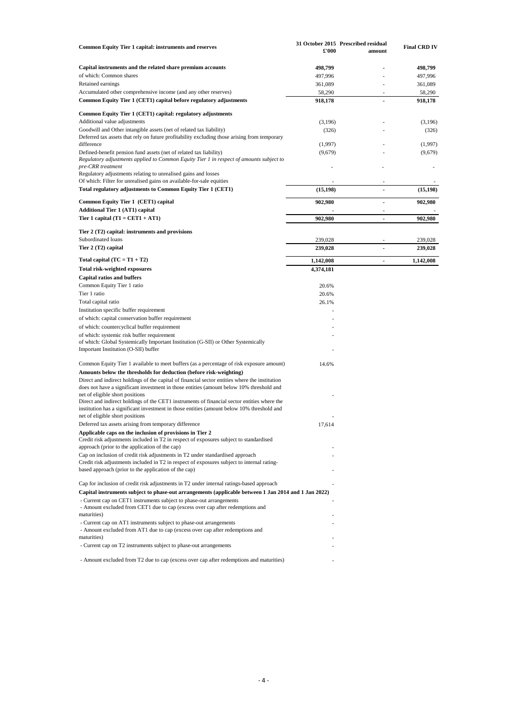| Common Equity Tier 1 capital: instruments and reserves                                                                                                                                                                                                           | £'000              | 31 October 2015 Prescribed residual<br>amount | <b>Final CRD IV</b> |
|------------------------------------------------------------------------------------------------------------------------------------------------------------------------------------------------------------------------------------------------------------------|--------------------|-----------------------------------------------|---------------------|
| Capital instruments and the related share premium accounts                                                                                                                                                                                                       | 498,799            |                                               | 498,799             |
| of which: Common shares                                                                                                                                                                                                                                          | 497,996            |                                               | 497,996             |
| Retained earnings                                                                                                                                                                                                                                                | 361,089            |                                               | 361,089             |
| Accumulated other comprehensive income (and any other reserves)                                                                                                                                                                                                  | 58,290             | ٠                                             | 58,290              |
| Common Equity Tier 1 (CET1) capital before regulatory adjustments                                                                                                                                                                                                | 918,178            |                                               | 918,178             |
| Common Equity Tier 1 (CET1) capital: regulatory adjustments                                                                                                                                                                                                      |                    |                                               |                     |
| Additional value adjustments                                                                                                                                                                                                                                     | (3,196)            |                                               | (3,196)             |
| Goodwill and Other intangible assets (net of related tax liability)                                                                                                                                                                                              | (326)              |                                               | (326)               |
| Deferred tax assets that rely on future profitability excluding those arising from temporary<br>difference                                                                                                                                                       | (1,997)            |                                               | (1,997)             |
| Defined-benefit pension fund assets (net of related tax liability)                                                                                                                                                                                               | (9,679)            |                                               | (9,679)             |
| Regulatory adjustments applied to Common Equity Tier 1 in respect of amounts subject to<br>pre-CRR treatment                                                                                                                                                     |                    |                                               |                     |
| Regulatory adjustments relating to unrealised gains and losses                                                                                                                                                                                                   |                    |                                               |                     |
| Of which: Filter for unrealised gains on available-for-sale equities                                                                                                                                                                                             |                    |                                               |                     |
| Total regulatory adjustments to Common Equity Tier 1 (CET1)                                                                                                                                                                                                      | (15, 198)          | $\overline{\phantom{a}}$                      | (15, 198)           |
| Common Equity Tier 1 (CET1) capital                                                                                                                                                                                                                              | 902,980            | $\overline{\phantom{a}}$                      | 902,980             |
| <b>Additional Tier 1 (AT1) capital</b><br>Tier 1 capital $(T1 = CET1 + AT1)$                                                                                                                                                                                     | 902,980            |                                               | 902,980             |
|                                                                                                                                                                                                                                                                  |                    |                                               |                     |
| Tier 2 (T2) capital: instruments and provisions                                                                                                                                                                                                                  |                    |                                               |                     |
| Subordinated loans<br>Tier 2 (T2) capital                                                                                                                                                                                                                        | 239,028<br>239,028 | ä,                                            | 239,028<br>239,028  |
| Total capital $(TC = T1 + T2)$                                                                                                                                                                                                                                   | 1,142,008          | $\ddot{\phantom{1}}$                          | 1,142,008           |
| <b>Total risk-weighted exposures</b>                                                                                                                                                                                                                             | 4,374,181          |                                               |                     |
| <b>Capital ratios and buffers</b>                                                                                                                                                                                                                                |                    |                                               |                     |
| Common Equity Tier 1 ratio                                                                                                                                                                                                                                       | 20.6%              |                                               |                     |
| Tier 1 ratio                                                                                                                                                                                                                                                     | 20.6%              |                                               |                     |
| Total capital ratio                                                                                                                                                                                                                                              | 26.1%              |                                               |                     |
| Institution specific buffer requirement                                                                                                                                                                                                                          |                    |                                               |                     |
| of which: capital conservation buffer requirement                                                                                                                                                                                                                |                    |                                               |                     |
| of which: countercyclical buffer requirement                                                                                                                                                                                                                     |                    |                                               |                     |
| of which: systemic risk buffer requirement<br>of which: Global Systemically Important Institution (G-SII) or Other Systemically<br>Important Institution (O-SII) buffer                                                                                          |                    |                                               |                     |
| Common Equity Tier 1 available to meet buffers (as a percentage of risk exposure amount)                                                                                                                                                                         | 14.6%              |                                               |                     |
| Amounts below the thresholds for deduction (before risk-weighting)<br>Direct and indirect holdings of the capital of financial sector entities where the institution<br>does not have a significant investment in those entities (amount below 10% threshold and |                    |                                               |                     |
| net of eligible short positions<br>Direct and indirect holdings of the CET1 instruments of financial sector entities where the<br>institution has a significant investment in those entities (amount below 10% threshold and<br>net of eligible short positions  |                    |                                               |                     |
| Deferred tax assets arising from temporary difference                                                                                                                                                                                                            | 17,614             |                                               |                     |
| Applicable caps on the inclusion of provisions in Tier 2<br>Credit risk adjustments included in T2 in respect of exposures subject to standardised<br>approach (prior to the application of the cap)                                                             |                    |                                               |                     |
| Cap on inclusion of credit risk adjustments in T2 under standardised approach<br>Credit risk adjustments included in T2 in respect of exposures subject to internal rating-<br>based approach (prior to the application of the cap)                              |                    |                                               |                     |
|                                                                                                                                                                                                                                                                  |                    |                                               |                     |
| Cap for inclusion of credit risk adjustments in T2 under internal ratings-based approach<br>Capital instruments subject to phase-out arrangements (applicable between 1 Jan 2014 and 1 Jan 2022)                                                                 |                    |                                               |                     |
| - Current cap on CET1 instruments subject to phase-out arrangements<br>- Amount excluded from CET1 due to cap (excess over cap after redemptions and<br>maturities)                                                                                              |                    |                                               |                     |
| - Current cap on AT1 instruments subject to phase-out arrangements<br>- Amount excluded from AT1 due to cap (excess over cap after redemptions and<br>maturities)                                                                                                |                    |                                               |                     |
| - Current cap on T2 instruments subject to phase-out arrangements                                                                                                                                                                                                |                    |                                               |                     |
| - Amount excluded from T2 due to cap (excess over cap after redemptions and maturities)                                                                                                                                                                          |                    |                                               |                     |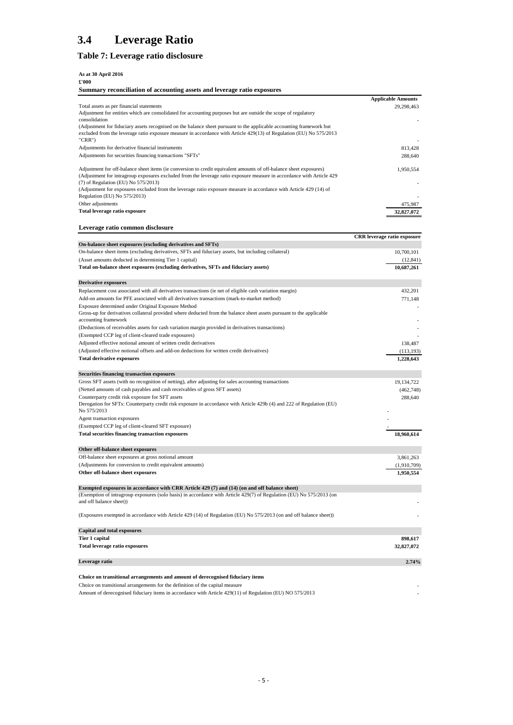# **3.4 Leverage Ratio**

# <span id="page-6-0"></span>**Table 7: Leverage ratio disclosure**

#### **As at 30 April 2016**

**£'000 Summary reconciliation of accounting assets and leverage ratio exposures**

| Total assets as per financial statements                                                                                                                                   | <b>Applicable Amounts</b>          |
|----------------------------------------------------------------------------------------------------------------------------------------------------------------------------|------------------------------------|
|                                                                                                                                                                            | 29,298,463                         |
| Adjustment for entities which are consolidated for accounting purposes but are outside the scope of regulatory<br>consolidation                                            |                                    |
| (Adjustment for fiduciary assets recognised on the balance sheet pursuant to the applicable accounting framework but                                                       |                                    |
| excluded from the leverage ratio exposure measure in accordance with Article 429(13) of Regulation (EU) No 575/2013                                                        |                                    |
| "CRR")                                                                                                                                                                     |                                    |
| Adjustments for derivative financial instruments                                                                                                                           | 813,428                            |
|                                                                                                                                                                            |                                    |
| Adjustments for securities financing transactions "SFTs"                                                                                                                   | 288,640                            |
| Adjustment for off-balance sheet items (ie conversion to credit equivalent amounts of off-balance sheet exposures)                                                         | 1,950,554                          |
| (Adjustment for intragroup exposures excluded from the leverage ratio exposure measure in accordance with Article 429                                                      |                                    |
| $(7)$ of Regulation (EU) No 575/2013)                                                                                                                                      |                                    |
| (Adjustment for exposures excluded from the leverage ratio exposure measure in accordance with Article 429 (14) of                                                         |                                    |
| Regulation (EU) No 575/2013)                                                                                                                                               |                                    |
| Other adjustments                                                                                                                                                          | 475,987                            |
| Total leverage ratio exposure                                                                                                                                              | 32,827,072                         |
|                                                                                                                                                                            |                                    |
| Leverage ratio common disclosure                                                                                                                                           |                                    |
|                                                                                                                                                                            |                                    |
|                                                                                                                                                                            | <b>CRR</b> leverage ratio exposure |
| On-balance sheet exposures (excluding derivatives and SFTs)                                                                                                                |                                    |
| On-balance sheet items (excluding derivatives, SFTs and fiduciary assets, but including collateral)                                                                        | 10,700,101                         |
| (Asset amounts deducted in determining Tier 1 capital)                                                                                                                     | (12, 841)                          |
| Total on-balance sheet exposures (excluding derivatives, SFTs and fiduciary assets)                                                                                        | 10,687,261                         |
|                                                                                                                                                                            |                                    |
| <b>Derivative exposures</b>                                                                                                                                                |                                    |
| Replacement cost associated with all derivatives transactions (ie net of eligible cash variation margin)                                                                   | 432,201                            |
| Add-on amounts for PFE associated with all derivatives transactions (mark-to-market method)                                                                                | 771,148                            |
|                                                                                                                                                                            |                                    |
| Exposure determined under Original Exposure Method<br>Gross-up for derivatives collateral provided where deducted from the balance sheet assets pursuant to the applicable |                                    |
| accounting framework                                                                                                                                                       |                                    |
|                                                                                                                                                                            |                                    |
| (Deductions of receivables assets for cash variation margin provided in derivatives transactions)                                                                          |                                    |
| (Exempted CCP leg of client-cleared trade exposures)                                                                                                                       |                                    |
| Adjusted effective notional amount of written credit derivatives                                                                                                           | 138,487                            |
| (Adjusted effective notional offsets and add-on deductions for written credit derivatives)                                                                                 | (113, 193)                         |
| <b>Total derivative exposures</b>                                                                                                                                          | 1,228,643                          |
|                                                                                                                                                                            |                                    |
| <b>Securities financing transaction exposures</b>                                                                                                                          |                                    |
| Gross SFT assets (with no recognition of netting), after adjusting for sales accounting transactions                                                                       | 19,134,722                         |
| (Netted amounts of cash payables and cash receivables of gross SFT assets)                                                                                                 | (462,748)                          |
| Counterparty credit risk exposure for SFT assets                                                                                                                           | 288,640                            |
| Derogation for SFTs: Counterparty credit risk exposure in accordance with Article 429b (4) and 222 of Regulation (EU)                                                      |                                    |
| No 575/2013                                                                                                                                                                |                                    |
| Agent transaction exposures                                                                                                                                                |                                    |
| (Exempted CCP leg of client-cleared SFT exposure)                                                                                                                          |                                    |
| <b>Total securities financing transaction exposures</b>                                                                                                                    | 18,960,614                         |
|                                                                                                                                                                            |                                    |
|                                                                                                                                                                            |                                    |
| Other off-balance sheet exposures                                                                                                                                          |                                    |
| Off-balance sheet exposures at gross notional amount                                                                                                                       | 3,861,263                          |
| (Adjustments for conversion to credit equivalent amounts)                                                                                                                  | (1,910,709)                        |
| Other off-balance sheet exposures                                                                                                                                          | 1,950,554                          |
|                                                                                                                                                                            |                                    |
| Exempted exposures in accordance with CRR Article 429 (7) and (14) (on and off balance sheet)                                                                              |                                    |
| (Exemption of intragroup exposures (solo basis) in accordance with Article 429(7) of Regulation (EU) No 575/2013 (on                                                       |                                    |
| and off balance sheet))                                                                                                                                                    |                                    |
|                                                                                                                                                                            |                                    |
| (Exposures exempted in accordance with Article 429 (14) of Regulation (EU) No 575/2013 (on and off balance sheet))                                                         |                                    |
|                                                                                                                                                                            |                                    |
| <b>Capital and total exposures</b>                                                                                                                                         |                                    |
| Tier 1 capital                                                                                                                                                             | 898,617                            |
| Total leverage ratio exposures                                                                                                                                             | 32,827,072                         |
|                                                                                                                                                                            |                                    |
| Leverage ratio                                                                                                                                                             | 2.74%                              |
|                                                                                                                                                                            |                                    |
| Choice on transitional arrangements and amount of derecognised fiduciary items                                                                                             |                                    |
| Choice on transitional arrangements for the definition of the capital measure                                                                                              |                                    |
| Amount of derecognised fiduciary items in accordance with Article 429(11) of Regulation (EU) NO 575/2013                                                                   |                                    |
|                                                                                                                                                                            |                                    |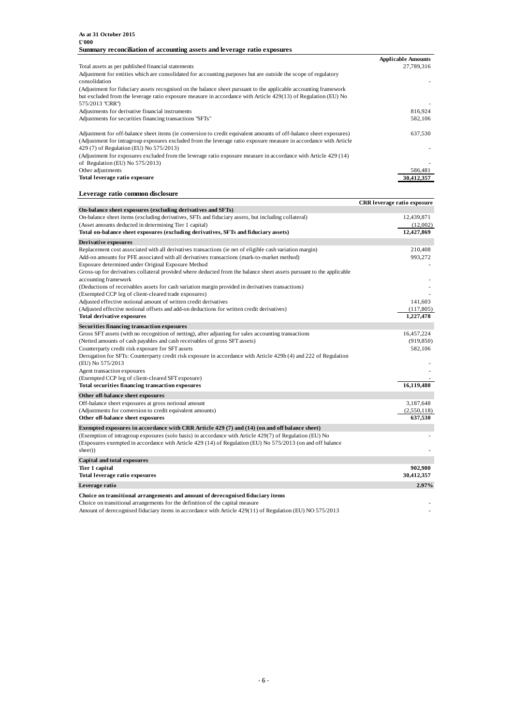|                                                                                                                    | <b>Applicable Amounts</b> |
|--------------------------------------------------------------------------------------------------------------------|---------------------------|
| Total assets as per published financial statements                                                                 | 27,789,316                |
| Adjustment for entities which are consolidated for accounting purposes but are outside the scope of regulatory     |                           |
| consolidation                                                                                                      |                           |
| (Adjustment for fiduciary assets recognised on the balance sheet pursuant to the applicable accounting framework   |                           |
| but excluded from the leverage ratio exposure measure in accordance with Article 429(13) of Regulation (EU) No     |                           |
| 575/2013 "CRR")                                                                                                    |                           |
| Adjustments for derivative financial instruments                                                                   | 816,924                   |
| Adjustments for securities financing transactions "SFTs"                                                           | 582,106                   |
| Adjustment for off-balance sheet items (ie conversion to credit equivalent amounts of off-balance sheet exposures) | 637,530                   |
| (Adjustment for intragroup exposures excluded from the leverage ratio exposure measure in accordance with Article  |                           |
| 429 (7) of Regulation (EU) No 575/2013)                                                                            |                           |
|                                                                                                                    |                           |
| (Adjustment for exposures excluded from the leverage ratio exposure measure in accordance with Article 429 (14)    |                           |
| of Regulation (EU) No 575/2013)                                                                                    |                           |
| Other adjustments                                                                                                  | 586,481                   |
| Total leverage ratio exposure                                                                                      | 30.412.357                |

**Leverage ratio common disclosure**

|                                                                                                                                              | <b>CRR</b> leverage ratio exposure |
|----------------------------------------------------------------------------------------------------------------------------------------------|------------------------------------|
| On-balance sheet exposures (excluding derivatives and SFTs)                                                                                  |                                    |
| On-balance sheet items (excluding derivatives, SFTs and fiduciary assets, but including collateral)                                          | 12,439,871                         |
| (Asset amounts deducted in determining Tier 1 capital)                                                                                       | (12,002)                           |
| Total on-balance sheet exposures (excluding derivatives, SFTs and fiduciary assets)                                                          | 12,427,869                         |
| Derivative exposures                                                                                                                         |                                    |
| Replacement cost associated with all derivatives transactions (ie net of eligible cash variation margin)                                     | 210,408                            |
| Add-on amounts for PFE associated with all derivatives transactions (mark-to-market method)                                                  | 993,272                            |
| Exposure determined under Original Exposure Method                                                                                           |                                    |
| Gross-up for derivatives collateral provided where deducted from the balance sheet assets pursuant to the applicable<br>accounting framework |                                    |
| (Deductions of receivables assets for cash variation margin provided in derivatives transactions)                                            |                                    |
| (Exempted CCP leg of client-cleared trade exposures)                                                                                         |                                    |
| Adjusted effective notional amount of written credit derivatives                                                                             | 141,603                            |
| (Adjusted effective notional offsets and add-on deductions for written credit derivatives)                                                   | (117, 805)                         |
| <b>Total derivative exposures</b>                                                                                                            | 1,227,478                          |
| Securities financing transaction exposures                                                                                                   |                                    |
| Gross SFT assets (with no recognition of netting), after adjusting for sales accounting transactions                                         | 16,457,224                         |
| (Netted amounts of cash payables and cash receivables of gross SFT assets)                                                                   | (919, 850)                         |
| Counterparty credit risk exposure for SFT assets                                                                                             | 582,106                            |
| Derogation for SFTs: Counterparty credit risk exposure in accordance with Article 429b (4) and 222 of Regulation                             |                                    |
| (EU) No 575/2013                                                                                                                             |                                    |
| Agent transaction exposures                                                                                                                  |                                    |
| (Exempted CCP leg of client-cleared SFT exposure)                                                                                            |                                    |
| Total securities financing transaction exposures                                                                                             | 16,119,480                         |
| Other off-balance sheet exposures                                                                                                            |                                    |
| Off-balance sheet exposures at gross notional amount                                                                                         | 3,187,648                          |
| (Adjustments for conversion to credit equivalent amounts)                                                                                    | (2,550,118)                        |
| Other off-balance sheet exposures                                                                                                            | 637,530                            |
| Exempted exposures in accordance with CRR Article 429 (7) and (14) (on and off balance sheet)                                                |                                    |
| (Exemption of intragroup exposures (solo basis) in accordance with Article 429(7) of Regulation (EU) No                                      |                                    |
| (Exposures exempted in accordance with Article 429 (14) of Regulation (EU) No 575/2013 (on and off balance                                   |                                    |
| sheet))                                                                                                                                      |                                    |
| Capital and total exposures                                                                                                                  |                                    |
| Tier 1 capital                                                                                                                               | 902,980                            |
| Total leverage ratio exposures                                                                                                               | 30,412,357                         |
| Leverage ratio                                                                                                                               | 2.97%                              |
| Choice on transitional arrangements and amount of derecognised fiduciary items                                                               |                                    |
| Choice on transitional arrangements for the definition of the capital measure                                                                |                                    |

Amount of derecognised fiduciary items in accordance with Article 429(11) of Regulation (EU) NO 575/2013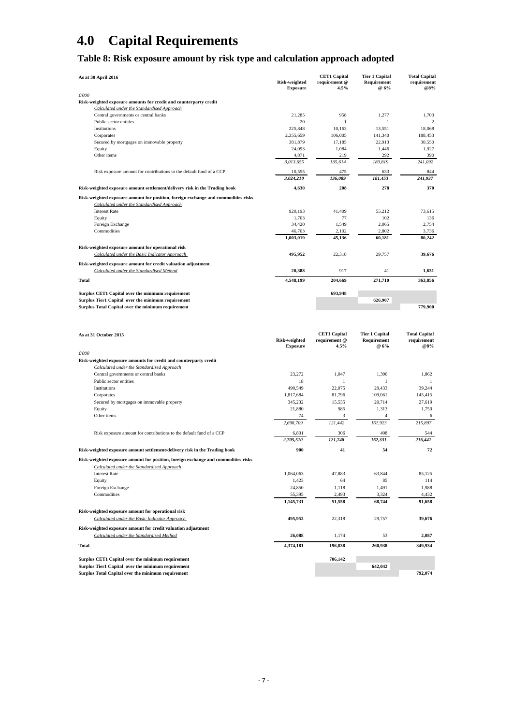# **4.0 Capital Requirements**

# <span id="page-8-0"></span>**Table 8: Risk exposure amount by risk type and calculation approach adopted**

| As at 30 April 2016                                                                                                              | <b>Risk-weighted</b><br><b>Exposure</b> | <b>CET1 Capital</b><br>requirement @<br>4.5% | <b>Tier 1 Capital</b><br>Requirement<br>@ 6% | <b>Total Capital</b><br>requirement<br>@8% |
|----------------------------------------------------------------------------------------------------------------------------------|-----------------------------------------|----------------------------------------------|----------------------------------------------|--------------------------------------------|
| £'000                                                                                                                            |                                         |                                              |                                              |                                            |
| Risk-weighted exposure amounts for credit and counterparty credit                                                                |                                         |                                              |                                              |                                            |
| Calculated under the Standardised Approach                                                                                       |                                         |                                              |                                              |                                            |
| Central governments or central banks                                                                                             | 21,285                                  | 958                                          | 1,277                                        | 1,703                                      |
| Public sector entities                                                                                                           | 20                                      | $\mathbf{1}$                                 | 1                                            | $\overline{c}$                             |
| Institutions                                                                                                                     | 225,848                                 | 10,163                                       | 13,551                                       | 18,068                                     |
| Corporates                                                                                                                       | 2,355,659                               | 106,005                                      | 141,340                                      | 188,453                                    |
| Secured by mortgages on immovable property                                                                                       | 381,879<br>24,093                       | 17,185<br>1,084                              | 22,913<br>1,446                              | 30,550<br>1,927                            |
| Equity<br>Other items                                                                                                            | 4,871                                   | 219                                          | 292                                          | 390                                        |
|                                                                                                                                  | 3.013.655                               | 135,614                                      | 180,819                                      | 241,092                                    |
|                                                                                                                                  |                                         |                                              |                                              |                                            |
| Risk exposure amount for contributions to the default fund of a CCP                                                              | 10,555                                  | 475                                          | 633                                          | 844                                        |
|                                                                                                                                  | 3,024,210                               | 136,089                                      | 181,453                                      | 241,937                                    |
| Risk-weighted exposure amount settlement/delivery risk in the Trading book                                                       | 4,630                                   | 208                                          | 278                                          | 370                                        |
| Risk-weighted exposure amount for position, foreign exchange and commodities risks<br>Calculated under the Standardised Approach |                                         |                                              |                                              |                                            |
| <b>Interest Rate</b>                                                                                                             | 920,193                                 | 41,409                                       | 55,212                                       | 73,615                                     |
| Equity                                                                                                                           | 1,703                                   | 77                                           | 102                                          | 136                                        |
| Foreign Exchange                                                                                                                 | 34,420                                  | 1,549                                        | 2,065                                        | 2,754                                      |
| Commodities                                                                                                                      | 46,703                                  | 2,102                                        | 2,802                                        | 3,736                                      |
|                                                                                                                                  | 1,003,019                               | 45,136                                       | 60,181                                       | 80,242                                     |
| Risk-weighted exposure amount for operational risk                                                                               |                                         |                                              |                                              |                                            |
| Calculated under the Basic Indicator Approach                                                                                    | 495,952                                 | 22,318                                       | 29,757                                       | 39,676                                     |
| Risk-weighted exposure amount for credit valuation adjustment                                                                    |                                         |                                              |                                              |                                            |
| Calculated under the Standardised Method                                                                                         | 20,388                                  | 917                                          | 41                                           | 1,631                                      |
| <b>Total</b>                                                                                                                     | 4,548,199                               | 204,669                                      | 271,710                                      | 363,856                                    |
|                                                                                                                                  |                                         |                                              |                                              |                                            |
|                                                                                                                                  |                                         | 693,948                                      |                                              |                                            |
| Surplus CET1 Capital over the minimum requirement<br>Surplus Tier1 Capital over the minimum requirement                          |                                         |                                              | 626,907                                      |                                            |
| Surplus Total Capital over the minimum requirement                                                                               |                                         |                                              |                                              | 779,900                                    |
|                                                                                                                                  |                                         |                                              |                                              |                                            |
|                                                                                                                                  |                                         |                                              |                                              |                                            |
|                                                                                                                                  |                                         |                                              |                                              |                                            |
| As at 31 October 2015                                                                                                            |                                         | <b>CET1 Capital</b>                          | <b>Tier 1 Capital</b>                        | <b>Total Capital</b>                       |
|                                                                                                                                  | <b>Risk-weighted</b>                    | requirement @                                | Requirement                                  | requirement                                |
|                                                                                                                                  | <b>Exposure</b>                         | 4.5%                                         | @ 6%                                         | @8%                                        |
| £'000                                                                                                                            |                                         |                                              |                                              |                                            |
| Risk-weighted exposure amounts for credit and counterparty credit                                                                |                                         |                                              |                                              |                                            |
| Calculated under the Standardised Approach                                                                                       |                                         |                                              |                                              |                                            |
| Central governments or central banks                                                                                             | 23,272                                  | 1,047                                        | 1,396                                        | 1,862                                      |
| Public sector entities                                                                                                           | 18                                      | $\mathbf{1}$                                 | $\mathbf{1}$                                 | $\mathbf{1}$                               |
| Institutions                                                                                                                     | 490,549                                 | 22,075                                       | 29,433                                       | 39,244                                     |
| Corporates                                                                                                                       | 1,817,684                               | 81,796                                       | 109,061                                      | 145,415                                    |
| Secured by mortgages on immovable property                                                                                       | 345,232                                 | 15.535                                       | 20,714                                       | 27.619                                     |
| Equity                                                                                                                           | 21,880                                  | 985                                          | 1,313                                        | 1,750                                      |
| Other items                                                                                                                      | 74<br>2,698,709                         | 3<br>121,442                                 | 161,923                                      | 215,897                                    |
|                                                                                                                                  |                                         |                                              |                                              |                                            |
| Risk exposure amount for contributions to the default fund of a CCP                                                              | 6,801<br>2,705,510                      | 306<br>121,748                               | 408<br>162,331                               | 544<br>216,441                             |
|                                                                                                                                  |                                         |                                              |                                              |                                            |
| Risk-weighted exposure amount settlement/delivery risk in the Trading book                                                       | 900                                     | 41                                           | 54                                           | 72                                         |
| Risk-weighted exposure amount for position, foreign exchange and commodities risks                                               |                                         |                                              |                                              |                                            |
| Calculated under the Standardised Approach                                                                                       |                                         |                                              |                                              |                                            |
| <b>Interest Rate</b>                                                                                                             | 1,064,063                               | 47,883                                       | 63,844                                       | 85,125                                     |
| Equity                                                                                                                           | 1,423                                   | 64                                           | 85                                           | 114                                        |
| Foreign Exchange                                                                                                                 | 24,850                                  | 1,118                                        | 1,491                                        | 1,988                                      |
| Commodities                                                                                                                      | 55,395                                  | 2,493                                        | 3,324                                        | 4,432                                      |
|                                                                                                                                  | 1,145,731                               | 51,558                                       | 68,744                                       | 91,658                                     |
| Risk-weighted exposure amount for operational risk                                                                               |                                         |                                              |                                              |                                            |
| Calculated under the Basic Indicator Approach                                                                                    | 495,952                                 | 22,318                                       | 29,757                                       | 39,676                                     |
| Risk-weighted exposure amount for credit valuation adjustment                                                                    |                                         |                                              |                                              |                                            |
| Calculated under the Standardised Method                                                                                         | 26,088                                  | 1,174                                        | 53                                           | 2,087                                      |
|                                                                                                                                  |                                         |                                              |                                              |                                            |
| Total                                                                                                                            | 4,374,181                               | 196,838                                      | 260,938                                      | 349.934                                    |

**Surplus CET1 Capital over the minimum requirement 706,142 Surplus Tier1 Capital over the minimum requirement 642,042 Surplus Total Capital over the minimum requirement 792,074**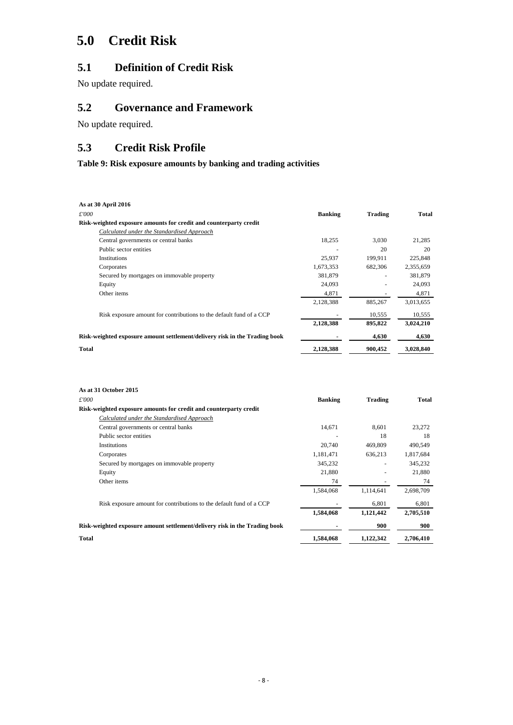# **5.0 Credit Risk**

# **5.1 Definition of Credit Risk**

No update required.

# **5.2 Governance and Framework**

No update required.

# **5.3 Credit Risk Profile**

<span id="page-9-0"></span>**Table 9: Risk exposure amounts by banking and trading activities** 

| As at 30 April 2016                                                        |                |                |           |
|----------------------------------------------------------------------------|----------------|----------------|-----------|
| $\pounds'000$                                                              | <b>Banking</b> | <b>Trading</b> | Total     |
| Risk-weighted exposure amounts for credit and counterparty credit          |                |                |           |
| Calculated under the Standardised Approach                                 |                |                |           |
| Central governments or central banks                                       | 18,255         | 3,030          | 21,285    |
| Public sector entities                                                     |                | 20             | 20        |
| Institutions                                                               | 25,937         | 199,911        | 225,848   |
| Corporates                                                                 | 1,673,353      | 682,306        | 2,355,659 |
| Secured by mortgages on immovable property                                 | 381,879        |                | 381,879   |
| Equity                                                                     | 24,093         |                | 24,093    |
| Other items                                                                | 4,871          |                | 4,871     |
|                                                                            | 2,128,388      | 885,267        | 3,013,655 |
| Risk exposure amount for contributions to the default fund of a CCP        |                | 10,555         | 10,555    |
|                                                                            | 2,128,388      | 895,822        | 3,024,210 |
| Risk-weighted exposure amount settlement/delivery risk in the Trading book |                | 4,630          | 4,630     |
| Total                                                                      | 2,128,388      | 900,452        | 3,028,840 |

| As at 31 October 2015                                                      |                |                |           |
|----------------------------------------------------------------------------|----------------|----------------|-----------|
| £'000                                                                      | <b>Banking</b> | <b>Trading</b> | Total     |
| Risk-weighted exposure amounts for credit and counterparty credit          |                |                |           |
| Calculated under the Standardised Approach                                 |                |                |           |
| Central governments or central banks                                       | 14,671         | 8,601          | 23,272    |
| Public sector entities                                                     |                | 18             | 18        |
| Institutions                                                               | 20,740         | 469,809        | 490,549   |
| Corporates                                                                 | 1,181,471      | 636,213        | 1,817,684 |
| Secured by mortgages on immovable property                                 | 345,232        |                | 345,232   |
| Equity                                                                     | 21,880         |                | 21,880    |
| Other items                                                                | 74             |                | 74        |
|                                                                            | 1,584,068      | 1,114,641      | 2,698,709 |
| Risk exposure amount for contributions to the default fund of a CCP        |                | 6,801          | 6,801     |
|                                                                            | 1,584,068      | 1,121,442      | 2,705,510 |
| Risk-weighted exposure amount settlement/delivery risk in the Trading book |                | 900            | 900       |
| <b>Total</b>                                                               | 1.584.068      | 1.122.342      | 2,706,410 |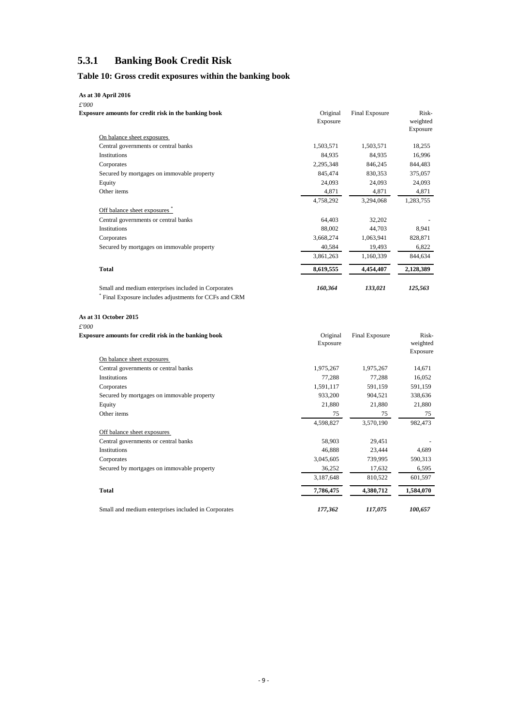## **5.3.1 Banking Book Credit Risk**

## <span id="page-10-0"></span>**Table 10: Gross credit exposures within the banking book**

### **As at 30 April 2016**

| £'000                                                |                      |                |                               |
|------------------------------------------------------|----------------------|----------------|-------------------------------|
| Exposure amounts for credit risk in the banking book | Original<br>Exposure | Final Exposure | Risk-<br>weighted<br>Exposure |
| On balance sheet exposures                           |                      |                |                               |
| Central governments or central banks                 | 1,503,571            | 1,503,571      | 18,255                        |
| <b>Institutions</b>                                  | 84,935               | 84,935         | 16,996                        |
| Corporates                                           | 2,295,348            | 846,245        | 844,483                       |
| Secured by mortgages on immovable property           | 845,474              | 830,353        | 375,057                       |
| Equity                                               | 24,093               | 24,093         | 24,093                        |
| Other items                                          | 4,871                | 4,871          | 4,871                         |
|                                                      | 4,758,292            | 3,294,068      | 1,283,755                     |
| Off balance sheet exposures                          |                      |                |                               |
| Central governments or central banks                 | 64,403               | 32,202         |                               |
| <b>Institutions</b>                                  | 88,002               | 44,703         | 8,941                         |
| Corporates                                           | 3,668,274            | 1,063,941      | 828,871                       |
| Secured by mortgages on immovable property           | 40,584               | 19,493         | 6,822                         |
|                                                      | 3,861,263            | 1,160,339      | 844,634                       |
| <b>Total</b>                                         | 8,619,555            | 4,454,407      | 2,128,389                     |
| Small and medium enterprises included in Corporates  | 160,364              | 133,021        | 125,563                       |
| Final Exposure includes adjustments for CCFs and CRM |                      |                |                               |

**As at 31 October 2015**

# *£'000*

| <b>Exposure amounts for credit risk in the banking book</b> | Original<br>Exposure | Final Exposure | Risk-<br>weighted<br>Exposure |
|-------------------------------------------------------------|----------------------|----------------|-------------------------------|
| On balance sheet exposures                                  |                      |                |                               |
| Central governments or central banks                        | 1,975,267            | 1,975,267      | 14,671                        |
| <b>Institutions</b>                                         | 77,288               | 77,288         | 16,052                        |
| Corporates                                                  | 1,591,117            | 591,159        | 591,159                       |
| Secured by mortgages on immovable property                  | 933,200              | 904,521        | 338,636                       |
| Equity                                                      | 21,880               | 21,880         | 21,880                        |
| Other items                                                 | 75                   | 75             | 75                            |
|                                                             | 4,598,827            | 3,570,190      | 982,473                       |
| Off balance sheet exposures                                 |                      |                |                               |
| Central governments or central banks                        | 58,903               | 29,451         |                               |
| Institutions                                                | 46,888               | 23,444         | 4,689                         |
| Corporates                                                  | 3,045,605            | 739,995        | 590,313                       |
| Secured by mortgages on immovable property                  | 36,252               | 17,632         | 6,595                         |
|                                                             | 3,187,648            | 810,522        | 601,597                       |
| <b>Total</b>                                                | 7,786,475            | 4,380,712      | 1,584,070                     |
| Small and medium enterprises included in Corporates         | 177,362              | 117,075        | 100,657                       |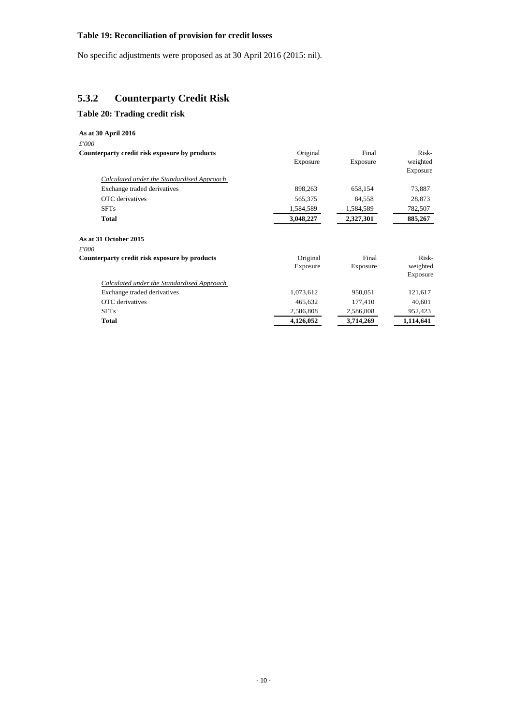#### **Table 19: Reconciliation of provision for credit losses**

No specific adjustments were proposed as at 30 April 2016 (2015: nil).

### **5.3.2 Counterparty Credit Risk**

#### <span id="page-11-0"></span>**Table 20: Trading credit risk**

#### <span id="page-11-1"></span>**As at 30 April 2016** *£'000* **Counterparty credit risk exposure by products** Original Exposure Final Exposure Riskweighted Exposure *Calculated under the Standardised Approach*  Exchange traded derivatives 898,263 658,154 73,887 OTC derivatives 565,375 84,558 28,873 SFTs 1,584,589 1,584,589 1,584,589 782,507 **Total 3,048,227 2,327,301 885,267 As at 31 October 2015** *£'000* **Counterparty credit risk exposure by products** Original Exposure Final Exposure Riskweighted Exposure *Calculated under the Standardised Approach*  Exchange traded derivatives 1,073,612 950,051 121,617 OTC derivatives 465,632 177,410 40,601 SFTs 2,586,808 2,586,808 2,586,808 952,423 **Total 4,126,052 3,714,269 1,114,641**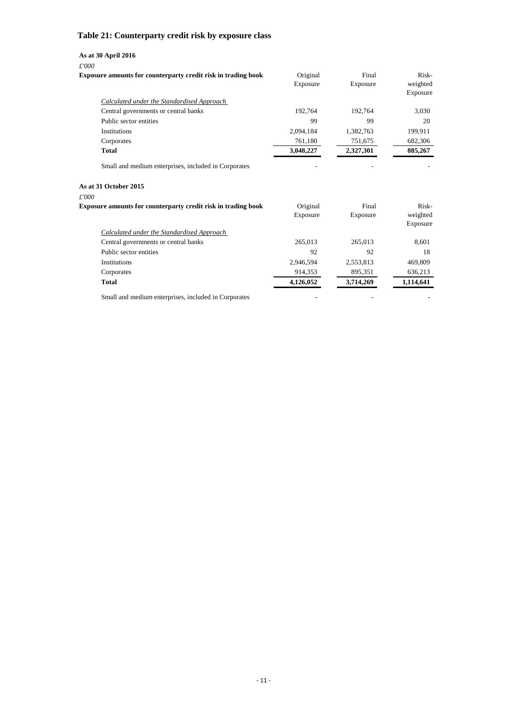## **Table 21: Counterparty credit risk by exposure class**

### **As at 30 April 2016**

*£'000*

| <b>Exposure amounts for counterparty credit risk in trading book</b> | Original<br>Exposure | Final<br>Exposure | Risk-<br>weighted<br>Exposure |
|----------------------------------------------------------------------|----------------------|-------------------|-------------------------------|
| Calculated under the Standardised Approach                           |                      |                   |                               |
| Central governments or central banks                                 | 192,764              | 192,764           | 3,030                         |
| Public sector entities                                               | 99                   | 99                | 20                            |
| Institutions                                                         | 2,094,184            | 1,382,763         | 199,911                       |
| Corporates                                                           | 761,180              | 751,675           | 682,306                       |
| <b>Total</b>                                                         | 3,048,227            | 2,327,301         | 885,267                       |
| Small and medium enterprises, included in Corporates                 |                      |                   |                               |
| As at 31 October 2015                                                |                      |                   |                               |
| £'000                                                                |                      |                   |                               |
| Exposure amounts for counterparty credit risk in trading book        | Original             | Final             | Risk-                         |
|                                                                      | Exposure             | Exposure          | weighted<br>Exposure          |
| Calculated under the Standardised Approach                           |                      |                   |                               |
| Central governments or central banks                                 | 265,013              | 265,013           | 8,601                         |
| Public sector entities                                               | 92                   | 92                | 18                            |
| Institutions                                                         | 2,946,594            | 2,553,813         | 469,809                       |
| Corporates                                                           | 914,353              | 895,351           | 636,213                       |
| <b>Total</b>                                                         | 4,126,052            | 3,714,269         | 1,114,641                     |
| Small and medium enterprises, included in Corporates                 |                      |                   |                               |

- 11 -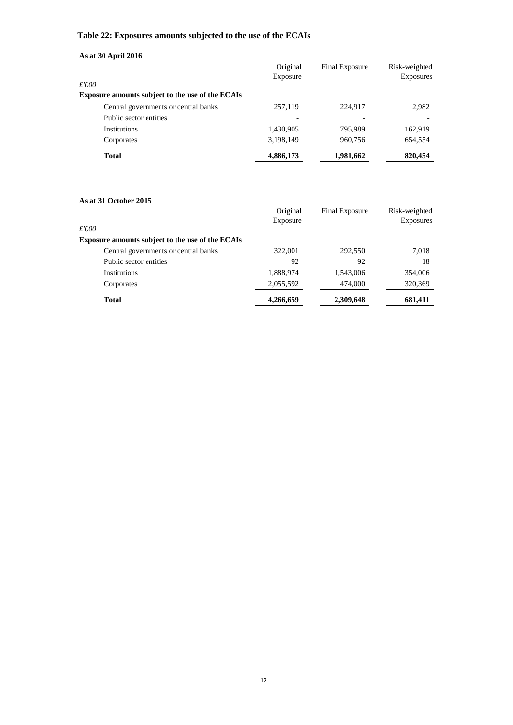## **Table 22: Exposures amounts subjected to the use of the ECAIs**

| As at 30 April 2016                                     |                      |                |                                   |
|---------------------------------------------------------|----------------------|----------------|-----------------------------------|
| £'000                                                   | Original<br>Exposure | Final Exposure | Risk-weighted<br><b>Exposures</b> |
| <b>Exposure amounts subject to the use of the ECAIs</b> |                      |                |                                   |
| Central governments or central banks                    | 257,119              | 224.917        | 2,982                             |
| Public sector entities                                  |                      |                |                                   |
| Institutions                                            | 1,430,905            | 795.989        | 162,919                           |
| Corporates                                              | 3,198,149            | 960,756        | 654,554                           |
| <b>Total</b>                                            | 4,886,173            | 1,981,662      | 820,454                           |

#### **As at 31 October 2015**

| £'000                                                   | Original<br>Exposure | Final Exposure | Risk-weighted<br><b>Exposures</b> |
|---------------------------------------------------------|----------------------|----------------|-----------------------------------|
| <b>Exposure amounts subject to the use of the ECAIs</b> |                      |                |                                   |
| Central governments or central banks                    | 322,001              | 292,550        | 7,018                             |
| Public sector entities                                  | 92                   | 92             | 18                                |
| Institutions                                            | 1,888,974            | 1,543,006      | 354,006                           |
| Corporates                                              | 2,055,592            | 474,000        | 320,369                           |
| <b>Total</b>                                            | 4,266,659            | 2,309,648      | 681,411                           |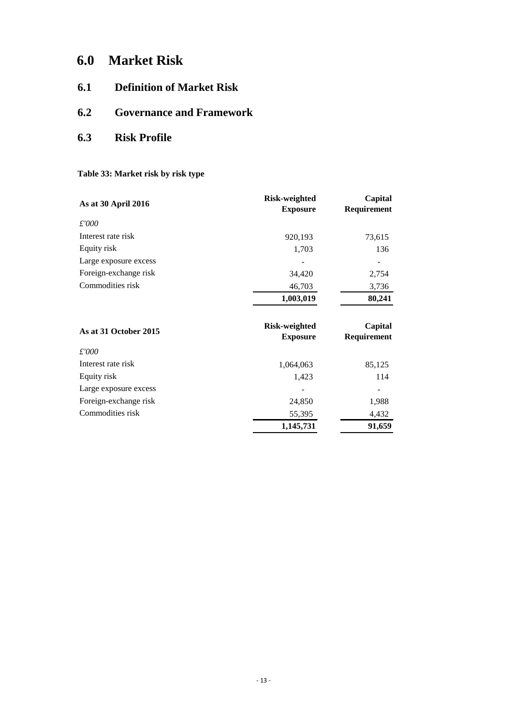# **6.0 Market Risk**

- **6.1 Definition of Market Risk**
- **6.2 Governance and Framework**
- <span id="page-14-0"></span>**6.3 Risk Profile**

## **Table 33: Market risk by risk type**

| <b>Risk-weighted</b> | Capital     |
|----------------------|-------------|
| <b>Exposure</b>      | Requirement |
|                      |             |
| 920,193              | 73,615      |
| 1,703                | 136         |
|                      |             |
| 34,420               | 2,754       |
| 46,703               | 3,736       |
| 1,003,019            | 80,241      |
|                      |             |
| <b>Risk-weighted</b> | Capital     |
| <b>Exposure</b>      | Requirement |
|                      |             |
| 1,064,063            | 85,125      |
| 1,423                | 114         |
|                      |             |
| 24,850               | 1,988       |
| 55,395               | 4,432       |
| 1,145,731            | 91,659      |
|                      |             |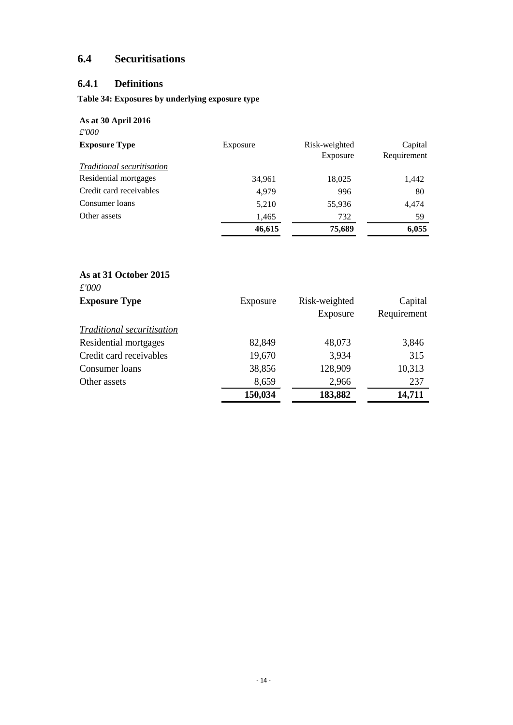# **6.4 Securitisations**

# **6.4.1 Definitions**

### **Table 34: Exposures by underlying exposure type**

| As at 30 April 2016<br>£'000      |          |                           |                        |
|-----------------------------------|----------|---------------------------|------------------------|
| <b>Exposure Type</b>              | Exposure | Risk-weighted<br>Exposure | Capital<br>Requirement |
| <i>Traditional securitisation</i> |          |                           |                        |
| Residential mortgages             | 34,961   | 18,025                    | 1,442                  |
| Credit card receivables           | 4,979    | 996                       | 80                     |
| Consumer loans                    | 5,210    | 55,936                    | 4,474                  |
| Other assets                      | 1,465    | 732                       | 59                     |
|                                   | 46,615   | 75,689                    | 6,055                  |

### **As at 31 October 2015** *£'000*

| <u>t UUU</u><br><b>Exposure Type</b> | Exposure | Risk-weighted | Capital     |
|--------------------------------------|----------|---------------|-------------|
|                                      |          | Exposure      | Requirement |
| Traditional securitisation           |          |               |             |
| Residential mortgages                | 82,849   | 48,073        | 3,846       |
| Credit card receivables              | 19,670   | 3,934         | 315         |
| Consumer loans                       | 38,856   | 128,909       | 10,313      |
| Other assets                         | 8,659    | 2,966         | 237         |
|                                      | 150,034  | 183,882       | 14,711      |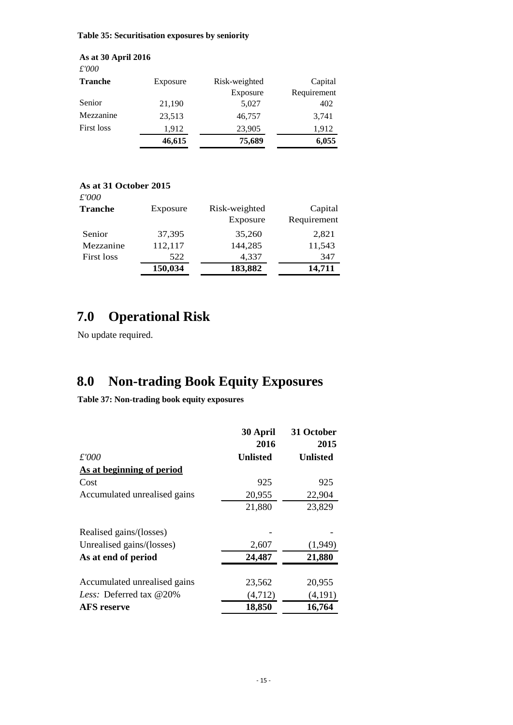**Table 35: Securitisation exposures by seniority**

**As at 30 April 2016** *£'000* Tranche Exposure Risk-weighted Exposure Capital Requirement Senior 21,190 5,027 402 Mezzanine 23,513 46,757 3,741 First loss 1,912 23,905 1,912 **46,615 75,689 6,055**

### **As at 31 October 2015**

| $\pounds'000$  |          |               |             |
|----------------|----------|---------------|-------------|
| <b>Tranche</b> | Exposure | Risk-weighted | Capital     |
|                |          | Exposure      | Requirement |
| Senior         | 37,395   | 35,260        | 2,821       |
| Mezzanine      | 112,117  | 144,285       | 11,543      |
| First loss     | 522      | 4,337         | 347         |
|                | 150,034  | 183,882       | 14,711      |

# **7.0 Operational Risk**

No update required.

# **8.0 Non-trading Book Equity Exposures**

**Table 37: Non-trading book equity exposures**

|                                   | 30 April<br>2016 | 31 October<br>2015 |
|-----------------------------------|------------------|--------------------|
| £'000                             | <b>Unlisted</b>  | <b>Unlisted</b>    |
| As at beginning of period         |                  |                    |
| Cost                              | 925              | 925                |
| Accumulated unrealised gains      | 20,955           | 22,904             |
|                                   | 21,880           | 23,829             |
| Realised gains/(losses)           |                  |                    |
| Unrealised gains/(losses)         | 2,607            | (1,949)            |
| As at end of period               | 24,487           | 21,880             |
| Accumulated unrealised gains      | 23,562           | 20,955             |
| <i>Less:</i> Deferred tax $@20\%$ | (4,712)          | (4,191)            |
| <b>AFS</b> reserve                | 18,850           | 16,764             |